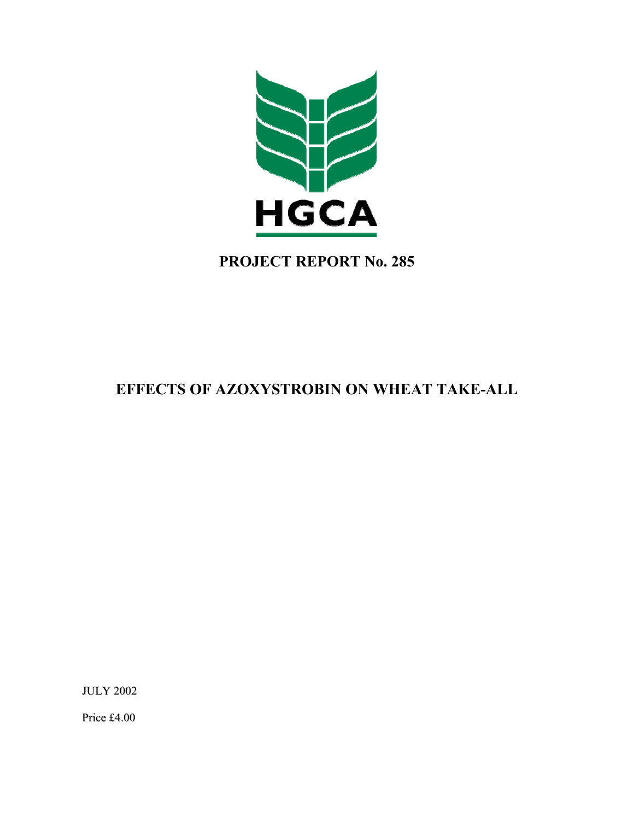

# **PROJECT REPORT No. 285**

# **EFFECTS OF AZOXYSTROBIN ON WHEAT TAKE-ALL**

JULY 2002

Price £4.00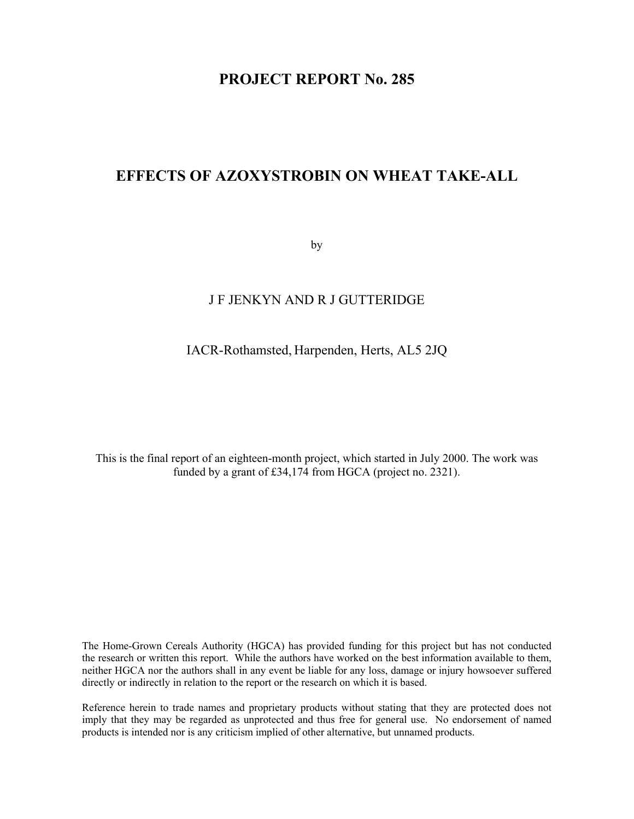# **PROJECT REPORT No. 285**

# **EFFECTS OF AZOXYSTROBIN ON WHEAT TAKE-ALL**

by

# J F JENKYN AND R J GUTTERIDGE

# IACR-Rothamsted, Harpenden, Herts, AL5 2JQ

This is the final report of an eighteen-month project, which started in July 2000. The work was funded by a grant of £34,174 from HGCA (project no. 2321).

The Home-Grown Cereals Authority (HGCA) has provided funding for this project but has not conducted the research or written this report. While the authors have worked on the best information available to them, neither HGCA nor the authors shall in any event be liable for any loss, damage or injury howsoever suffered directly or indirectly in relation to the report or the research on which it is based.

Reference herein to trade names and proprietary products without stating that they are protected does not imply that they may be regarded as unprotected and thus free for general use. No endorsement of named products is intended nor is any criticism implied of other alternative, but unnamed products.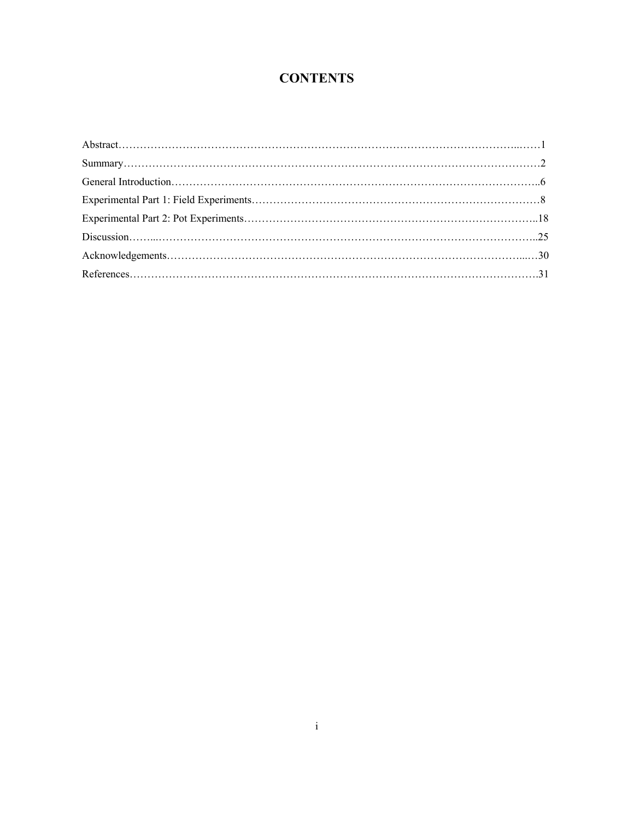# **CONTENTS**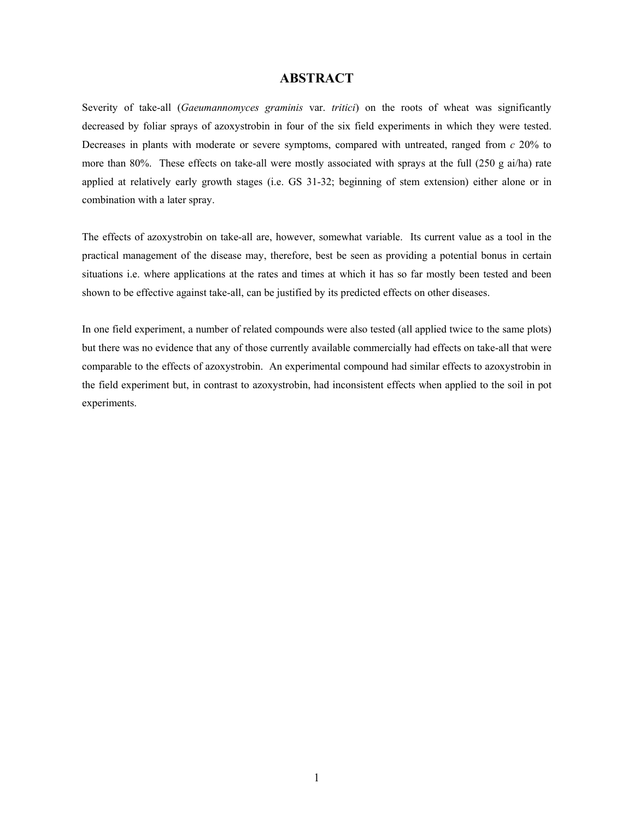# **ABSTRACT**

Severity of take-all (*Gaeumannomyces graminis* var. *tritici*) on the roots of wheat was significantly decreased by foliar sprays of azoxystrobin in four of the six field experiments in which they were tested. Decreases in plants with moderate or severe symptoms, compared with untreated, ranged from *c* 20% to more than 80%. These effects on take-all were mostly associated with sprays at the full (250 g ai/ha) rate applied at relatively early growth stages (i.e. GS 31-32; beginning of stem extension) either alone or in combination with a later spray.

The effects of azoxystrobin on take-all are, however, somewhat variable. Its current value as a tool in the practical management of the disease may, therefore, best be seen as providing a potential bonus in certain situations i.e. where applications at the rates and times at which it has so far mostly been tested and been shown to be effective against take-all, can be justified by its predicted effects on other diseases.

In one field experiment, a number of related compounds were also tested (all applied twice to the same plots) but there was no evidence that any of those currently available commercially had effects on take-all that were comparable to the effects of azoxystrobin. An experimental compound had similar effects to azoxystrobin in the field experiment but, in contrast to azoxystrobin, had inconsistent effects when applied to the soil in pot experiments.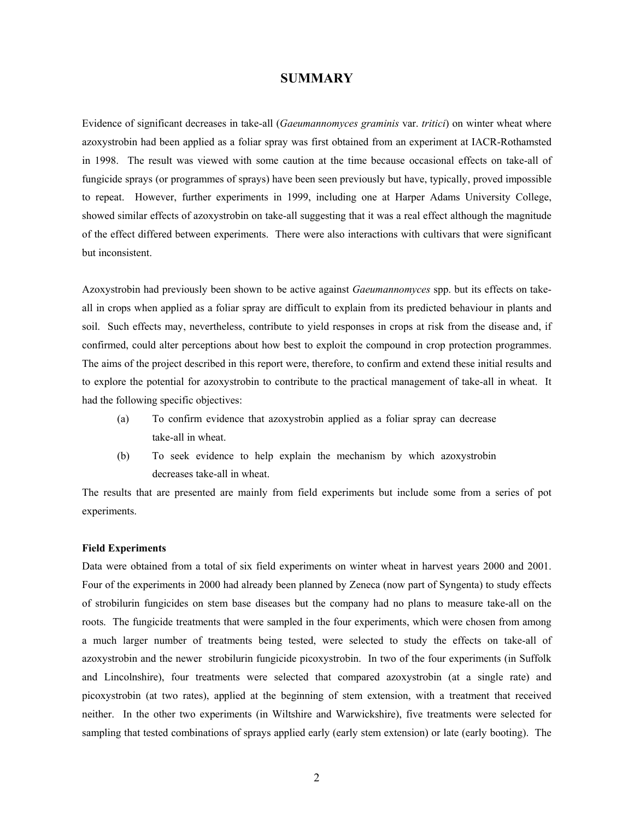## **SUMMARY**

Evidence of significant decreases in take-all (*Gaeumannomyces graminis* var. *tritici*) on winter wheat where azoxystrobin had been applied as a foliar spray was first obtained from an experiment at IACR-Rothamsted in 1998. The result was viewed with some caution at the time because occasional effects on take-all of fungicide sprays (or programmes of sprays) have been seen previously but have, typically, proved impossible to repeat. However, further experiments in 1999, including one at Harper Adams University College, showed similar effects of azoxystrobin on take-all suggesting that it was a real effect although the magnitude of the effect differed between experiments. There were also interactions with cultivars that were significant but inconsistent.

Azoxystrobin had previously been shown to be active against *Gaeumannomyces* spp. but its effects on takeall in crops when applied as a foliar spray are difficult to explain from its predicted behaviour in plants and soil. Such effects may, nevertheless, contribute to yield responses in crops at risk from the disease and, if confirmed, could alter perceptions about how best to exploit the compound in crop protection programmes. The aims of the project described in this report were, therefore, to confirm and extend these initial results and to explore the potential for azoxystrobin to contribute to the practical management of take-all in wheat. It had the following specific objectives:

- (a) To confirm evidence that azoxystrobin applied as a foliar spray can decrease take-all in wheat.
- (b) To seek evidence to help explain the mechanism by which azoxystrobin decreases take-all in wheat.

The results that are presented are mainly from field experiments but include some from a series of pot experiments.

#### **Field Experiments**

Data were obtained from a total of six field experiments on winter wheat in harvest years 2000 and 2001. Four of the experiments in 2000 had already been planned by Zeneca (now part of Syngenta) to study effects of strobilurin fungicides on stem base diseases but the company had no plans to measure take-all on the roots. The fungicide treatments that were sampled in the four experiments, which were chosen from among a much larger number of treatments being tested, were selected to study the effects on take-all of azoxystrobin and the newer strobilurin fungicide picoxystrobin. In two of the four experiments (in Suffolk and Lincolnshire), four treatments were selected that compared azoxystrobin (at a single rate) and picoxystrobin (at two rates), applied at the beginning of stem extension, with a treatment that received neither. In the other two experiments (in Wiltshire and Warwickshire), five treatments were selected for sampling that tested combinations of sprays applied early (early stem extension) or late (early booting). The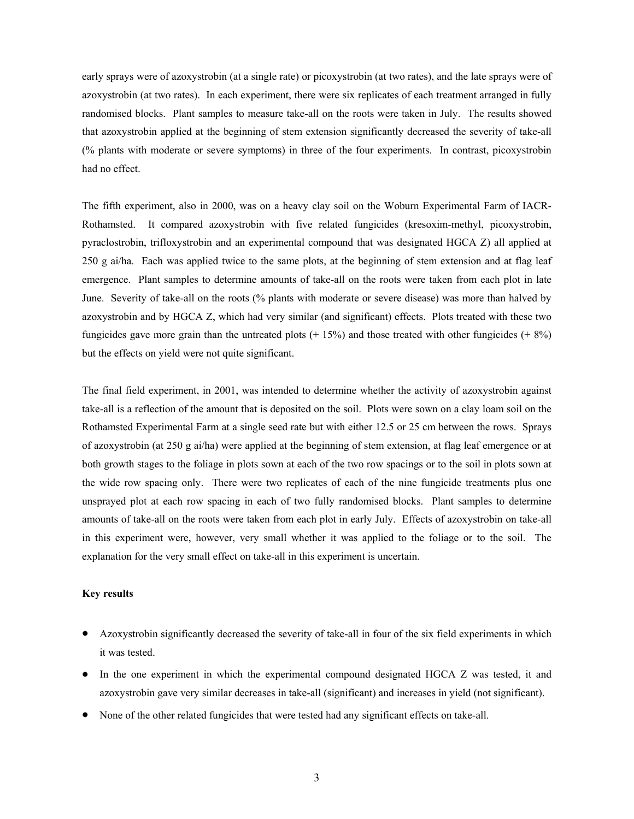early sprays were of azoxystrobin (at a single rate) or picoxystrobin (at two rates), and the late sprays were of azoxystrobin (at two rates). In each experiment, there were six replicates of each treatment arranged in fully randomised blocks. Plant samples to measure take-all on the roots were taken in July. The results showed that azoxystrobin applied at the beginning of stem extension significantly decreased the severity of take-all (% plants with moderate or severe symptoms) in three of the four experiments. In contrast, picoxystrobin had no effect.

The fifth experiment, also in 2000, was on a heavy clay soil on the Woburn Experimental Farm of IACR-Rothamsted. It compared azoxystrobin with five related fungicides (kresoxim-methyl, picoxystrobin, pyraclostrobin, trifloxystrobin and an experimental compound that was designated HGCA Z) all applied at 250 g ai/ha. Each was applied twice to the same plots, at the beginning of stem extension and at flag leaf emergence. Plant samples to determine amounts of take-all on the roots were taken from each plot in late June. Severity of take-all on the roots (% plants with moderate or severe disease) was more than halved by azoxystrobin and by HGCA Z, which had very similar (and significant) effects. Plots treated with these two fungicides gave more grain than the untreated plots  $(+ 15%)$  and those treated with other fungicides  $(+ 8%)$ but the effects on yield were not quite significant.

The final field experiment, in 2001, was intended to determine whether the activity of azoxystrobin against take-all is a reflection of the amount that is deposited on the soil. Plots were sown on a clay loam soil on the Rothamsted Experimental Farm at a single seed rate but with either 12.5 or 25 cm between the rows. Sprays of azoxystrobin (at 250 g ai/ha) were applied at the beginning of stem extension, at flag leaf emergence or at both growth stages to the foliage in plots sown at each of the two row spacings or to the soil in plots sown at the wide row spacing only. There were two replicates of each of the nine fungicide treatments plus one unsprayed plot at each row spacing in each of two fully randomised blocks. Plant samples to determine amounts of take-all on the roots were taken from each plot in early July. Effects of azoxystrobin on take-all in this experiment were, however, very small whether it was applied to the foliage or to the soil. The explanation for the very small effect on take-all in this experiment is uncertain.

#### **Key results**

- Azoxystrobin significantly decreased the severity of take-all in four of the six field experiments in which it was tested.
- In the one experiment in which the experimental compound designated HGCA Z was tested, it and azoxystrobin gave very similar decreases in take-all (significant) and increases in yield (not significant).
- None of the other related fungicides that were tested had any significant effects on take-all.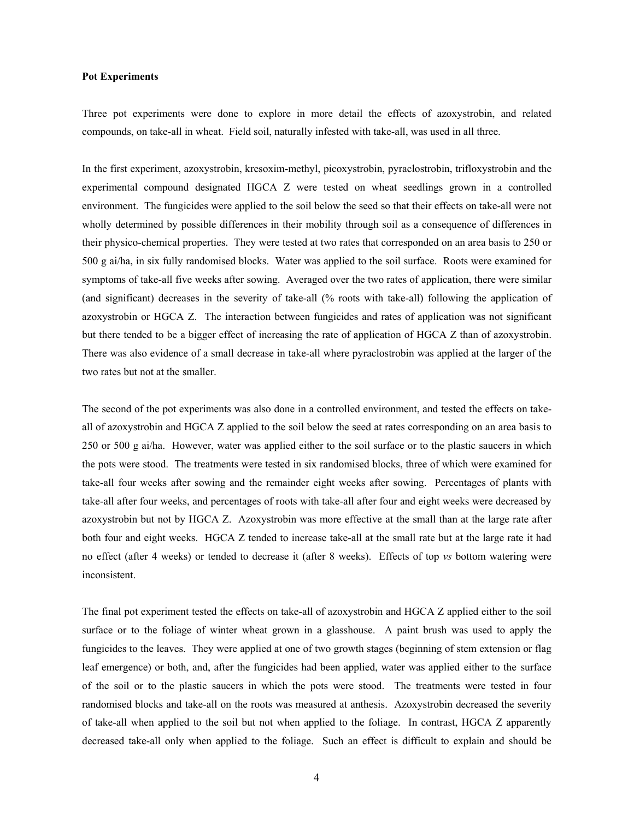#### **Pot Experiments**

Three pot experiments were done to explore in more detail the effects of azoxystrobin, and related compounds, on take-all in wheat. Field soil, naturally infested with take-all, was used in all three.

In the first experiment, azoxystrobin, kresoxim-methyl, picoxystrobin, pyraclostrobin, trifloxystrobin and the experimental compound designated HGCA Z were tested on wheat seedlings grown in a controlled environment. The fungicides were applied to the soil below the seed so that their effects on take-all were not wholly determined by possible differences in their mobility through soil as a consequence of differences in their physico-chemical properties. They were tested at two rates that corresponded on an area basis to 250 or 500 g ai/ha, in six fully randomised blocks. Water was applied to the soil surface. Roots were examined for symptoms of take-all five weeks after sowing. Averaged over the two rates of application, there were similar (and significant) decreases in the severity of take-all (% roots with take-all) following the application of azoxystrobin or HGCA Z. The interaction between fungicides and rates of application was not significant but there tended to be a bigger effect of increasing the rate of application of HGCA Z than of azoxystrobin. There was also evidence of a small decrease in take-all where pyraclostrobin was applied at the larger of the two rates but not at the smaller.

The second of the pot experiments was also done in a controlled environment, and tested the effects on takeall of azoxystrobin and HGCA Z applied to the soil below the seed at rates corresponding on an area basis to 250 or 500 g ai/ha. However, water was applied either to the soil surface or to the plastic saucers in which the pots were stood. The treatments were tested in six randomised blocks, three of which were examined for take-all four weeks after sowing and the remainder eight weeks after sowing. Percentages of plants with take-all after four weeks, and percentages of roots with take-all after four and eight weeks were decreased by azoxystrobin but not by HGCA Z. Azoxystrobin was more effective at the small than at the large rate after both four and eight weeks. HGCA Z tended to increase take-all at the small rate but at the large rate it had no effect (after 4 weeks) or tended to decrease it (after 8 weeks). Effects of top *vs* bottom watering were inconsistent.

The final pot experiment tested the effects on take-all of azoxystrobin and HGCA Z applied either to the soil surface or to the foliage of winter wheat grown in a glasshouse. A paint brush was used to apply the fungicides to the leaves. They were applied at one of two growth stages (beginning of stem extension or flag leaf emergence) or both, and, after the fungicides had been applied, water was applied either to the surface of the soil or to the plastic saucers in which the pots were stood. The treatments were tested in four randomised blocks and take-all on the roots was measured at anthesis. Azoxystrobin decreased the severity of take-all when applied to the soil but not when applied to the foliage. In contrast, HGCA Z apparently decreased take-all only when applied to the foliage. Such an effect is difficult to explain and should be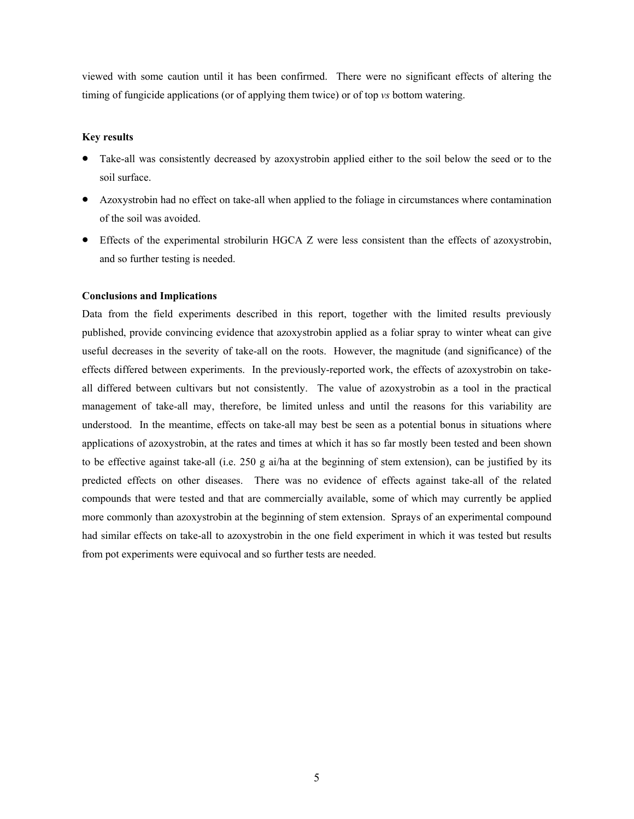viewed with some caution until it has been confirmed. There were no significant effects of altering the timing of fungicide applications (or of applying them twice) or of top *vs* bottom watering.

## **Key results**

- Take-all was consistently decreased by azoxystrobin applied either to the soil below the seed or to the soil surface.
- Azoxystrobin had no effect on take-all when applied to the foliage in circumstances where contamination of the soil was avoided.
- Effects of the experimental strobilurin HGCA Z were less consistent than the effects of azoxystrobin, and so further testing is needed.

## **Conclusions and Implications**

Data from the field experiments described in this report, together with the limited results previously published, provide convincing evidence that azoxystrobin applied as a foliar spray to winter wheat can give useful decreases in the severity of take-all on the roots. However, the magnitude (and significance) of the effects differed between experiments. In the previously-reported work, the effects of azoxystrobin on takeall differed between cultivars but not consistently. The value of azoxystrobin as a tool in the practical management of take-all may, therefore, be limited unless and until the reasons for this variability are understood. In the meantime, effects on take-all may best be seen as a potential bonus in situations where applications of azoxystrobin, at the rates and times at which it has so far mostly been tested and been shown to be effective against take-all (i.e. 250 g ai/ha at the beginning of stem extension), can be justified by its predicted effects on other diseases. There was no evidence of effects against take-all of the related compounds that were tested and that are commercially available, some of which may currently be applied more commonly than azoxystrobin at the beginning of stem extension. Sprays of an experimental compound had similar effects on take-all to azoxystrobin in the one field experiment in which it was tested but results from pot experiments were equivocal and so further tests are needed.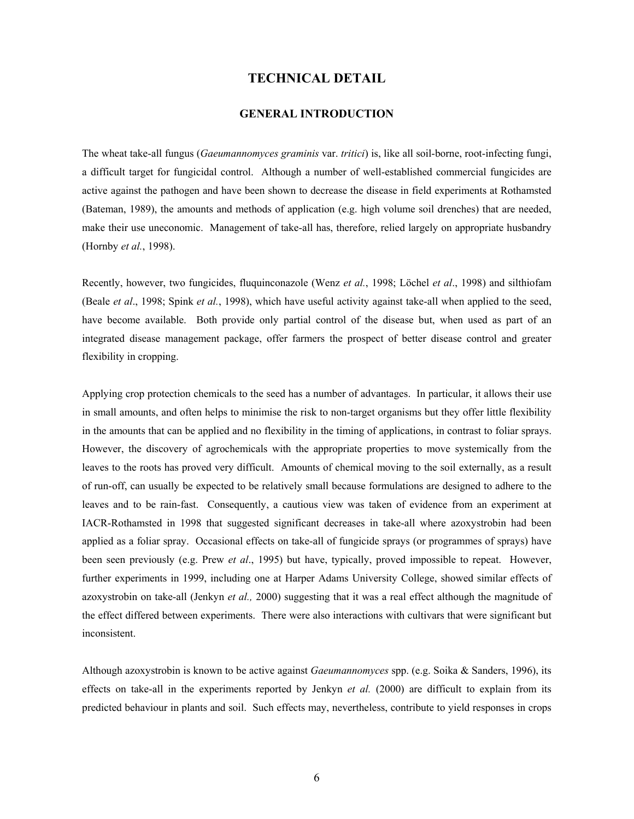## **TECHNICAL DETAIL**

# **GENERAL INTRODUCTION**

The wheat take-all fungus (*Gaeumannomyces graminis* var. *tritici*) is, like all soil-borne, root-infecting fungi, a difficult target for fungicidal control. Although a number of well-established commercial fungicides are active against the pathogen and have been shown to decrease the disease in field experiments at Rothamsted (Bateman, 1989), the amounts and methods of application (e.g. high volume soil drenches) that are needed, make their use uneconomic. Management of take-all has, therefore, relied largely on appropriate husbandry (Hornby *et al.*, 1998).

Recently, however, two fungicides, fluquinconazole (Wenz *et al.*, 1998; Löchel *et al*., 1998) and silthiofam (Beale *et al*., 1998; Spink *et al.*, 1998), which have useful activity against take-all when applied to the seed, have become available. Both provide only partial control of the disease but, when used as part of an integrated disease management package, offer farmers the prospect of better disease control and greater flexibility in cropping.

Applying crop protection chemicals to the seed has a number of advantages. In particular, it allows their use in small amounts, and often helps to minimise the risk to non-target organisms but they offer little flexibility in the amounts that can be applied and no flexibility in the timing of applications, in contrast to foliar sprays. However, the discovery of agrochemicals with the appropriate properties to move systemically from the leaves to the roots has proved very difficult. Amounts of chemical moving to the soil externally, as a result of run-off, can usually be expected to be relatively small because formulations are designed to adhere to the leaves and to be rain-fast. Consequently, a cautious view was taken of evidence from an experiment at IACR-Rothamsted in 1998 that suggested significant decreases in take-all where azoxystrobin had been applied as a foliar spray. Occasional effects on take-all of fungicide sprays (or programmes of sprays) have been seen previously (e.g. Prew *et al*., 1995) but have, typically, proved impossible to repeat. However, further experiments in 1999, including one at Harper Adams University College, showed similar effects of azoxystrobin on take-all (Jenkyn *et al.,* 2000) suggesting that it was a real effect although the magnitude of the effect differed between experiments. There were also interactions with cultivars that were significant but inconsistent.

Although azoxystrobin is known to be active against *Gaeumannomyces* spp. (e.g. Soika & Sanders, 1996), its effects on take-all in the experiments reported by Jenkyn *et al.* (2000) are difficult to explain from its predicted behaviour in plants and soil. Such effects may, nevertheless, contribute to yield responses in crops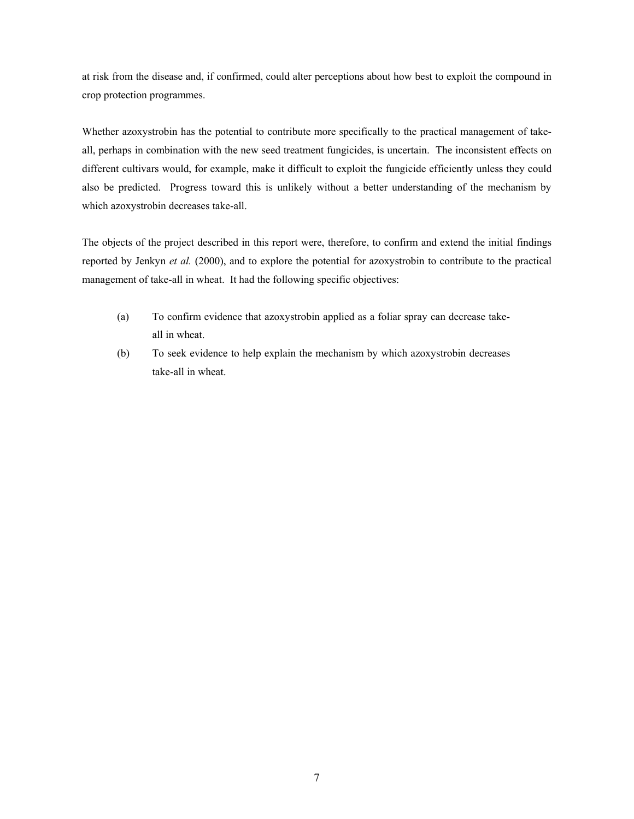at risk from the disease and, if confirmed, could alter perceptions about how best to exploit the compound in crop protection programmes.

Whether azoxystrobin has the potential to contribute more specifically to the practical management of takeall, perhaps in combination with the new seed treatment fungicides, is uncertain. The inconsistent effects on different cultivars would, for example, make it difficult to exploit the fungicide efficiently unless they could also be predicted. Progress toward this is unlikely without a better understanding of the mechanism by which azoxystrobin decreases take-all.

The objects of the project described in this report were, therefore, to confirm and extend the initial findings reported by Jenkyn *et al.* (2000), and to explore the potential for azoxystrobin to contribute to the practical management of take-all in wheat. It had the following specific objectives:

- (a) To confirm evidence that azoxystrobin applied as a foliar spray can decrease takeall in wheat.
- (b) To seek evidence to help explain the mechanism by which azoxystrobin decreases take-all in wheat.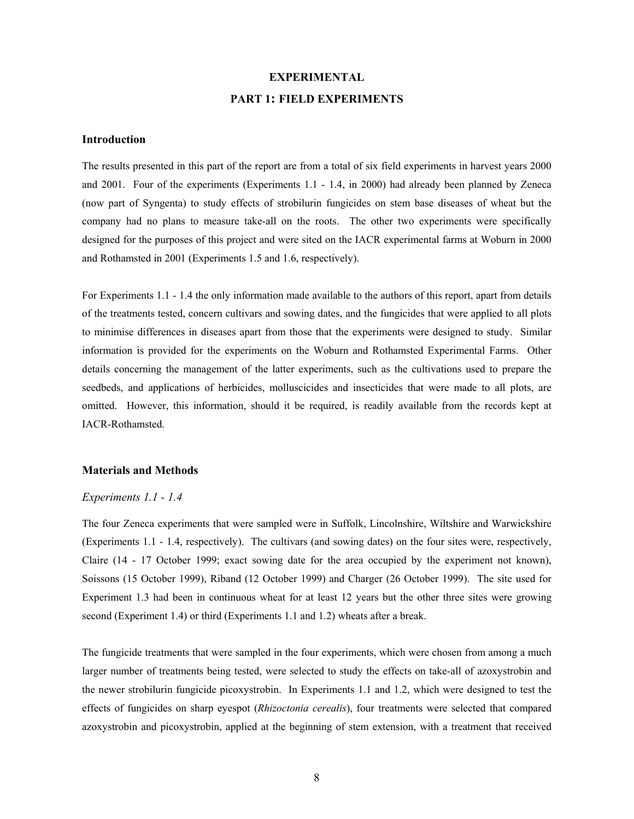# **EXPERIMENTAL PART 1: FIELD EXPERIMENTS**

### **Introduction**

The results presented in this part of the report are from a total of six field experiments in harvest years 2000 and 2001. Four of the experiments (Experiments 1.1 - 1.4, in 2000) had already been planned by Zeneca (now part of Syngenta) to study effects of strobilurin fungicides on stem base diseases of wheat but the company had no plans to measure take-all on the roots. The other two experiments were specifically designed for the purposes of this project and were sited on the IACR experimental farms at Woburn in 2000 and Rothamsted in 2001 (Experiments 1.5 and 1.6, respectively).

For Experiments 1.1 - 1.4 the only information made available to the authors of this report, apart from details of the treatments tested, concern cultivars and sowing dates, and the fungicides that were applied to all plots to minimise differences in diseases apart from those that the experiments were designed to study. Similar information is provided for the experiments on the Woburn and Rothamsted Experimental Farms. Other details concerning the management of the latter experiments, such as the cultivations used to prepare the seedbeds, and applications of herbicides, molluscicides and insecticides that were made to all plots, are omitted. However, this information, should it be required, is readily available from the records kept at IACR-Rothamsted.

#### **Materials and Methods**

### *Experiments 1.1 - 1.4*

The four Zeneca experiments that were sampled were in Suffolk, Lincolnshire, Wiltshire and Warwickshire (Experiments 1.1 - 1.4, respectively). The cultivars (and sowing dates) on the four sites were, respectively, Claire (14 - 17 October 1999; exact sowing date for the area occupied by the experiment not known), Soissons (15 October 1999), Riband (12 October 1999) and Charger (26 October 1999). The site used for Experiment 1.3 had been in continuous wheat for at least 12 years but the other three sites were growing second (Experiment 1.4) or third (Experiments 1.1 and 1.2) wheats after a break.

The fungicide treatments that were sampled in the four experiments, which were chosen from among a much larger number of treatments being tested, were selected to study the effects on take-all of azoxystrobin and the newer strobilurin fungicide picoxystrobin. In Experiments 1.1 and 1.2, which were designed to test the effects of fungicides on sharp eyespot (*Rhizoctonia cerealis*), four treatments were selected that compared azoxystrobin and picoxystrobin, applied at the beginning of stem extension, with a treatment that received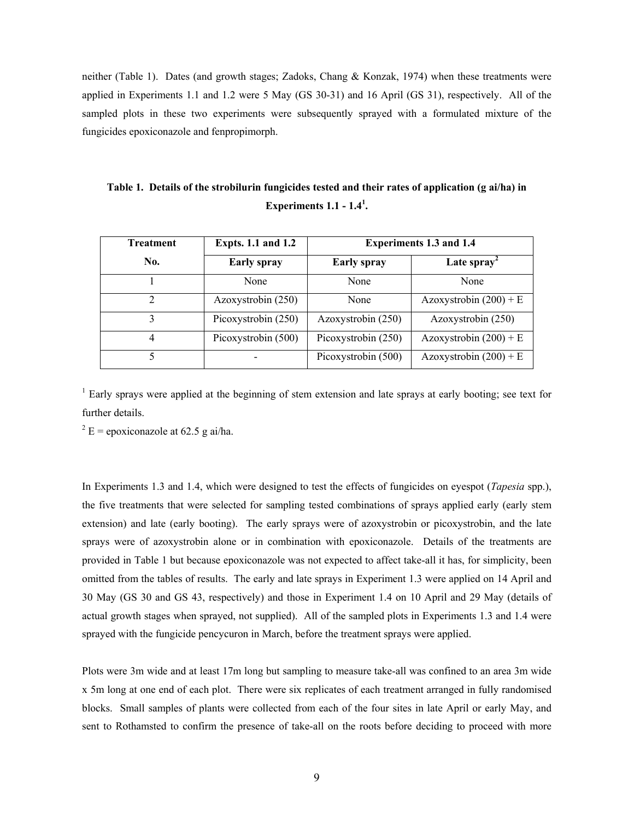neither (Table 1). Dates (and growth stages; Zadoks, Chang & Konzak, 1974) when these treatments were applied in Experiments 1.1 and 1.2 were 5 May (GS 30-31) and 16 April (GS 31), respectively. All of the sampled plots in these two experiments were subsequently sprayed with a formulated mixture of the fungicides epoxiconazole and fenpropimorph.

| Table 1. Details of the strobilurin fungicides tested and their rates of application (g ai/ha) in |
|---------------------------------------------------------------------------------------------------|
| Experiments $1.1 - 1.41$ .                                                                        |

| Treatment      | <b>Expts. 1.1 and 1.2</b> | <b>Experiments 1.3 and 1.4</b> |                          |
|----------------|---------------------------|--------------------------------|--------------------------|
| No.            | <b>Early spray</b>        | <b>Early spray</b>             | Late spray <sup>2</sup>  |
|                | None                      | None                           | None                     |
| $\overline{c}$ | Azoxystrobin (250)        | None                           | Azoxystrobin $(200) + E$ |
|                | Picoxystrobin (250)       | Azoxystrobin (250)             | Azoxystrobin (250)       |
| 4              | Picoxystrobin (500)       | Picoxystrobin (250)            | Azoxystrobin $(200) + E$ |
|                |                           | Picoxystrobin (500)            | Azoxystrobin $(200) + E$ |

<sup>1</sup> Early sprays were applied at the beginning of stem extension and late sprays at early booting; see text for further details.

 $2 E = \text{epoxiconazole at } 62.5 \text{ g ai/ha.}$ 

In Experiments 1.3 and 1.4, which were designed to test the effects of fungicides on eyespot (*Tapesia* spp.), the five treatments that were selected for sampling tested combinations of sprays applied early (early stem extension) and late (early booting). The early sprays were of azoxystrobin or picoxystrobin, and the late sprays were of azoxystrobin alone or in combination with epoxiconazole. Details of the treatments are provided in Table 1 but because epoxiconazole was not expected to affect take-all it has, for simplicity, been omitted from the tables of results. The early and late sprays in Experiment 1.3 were applied on 14 April and 30 May (GS 30 and GS 43, respectively) and those in Experiment 1.4 on 10 April and 29 May (details of actual growth stages when sprayed, not supplied). All of the sampled plots in Experiments 1.3 and 1.4 were sprayed with the fungicide pencycuron in March, before the treatment sprays were applied.

Plots were 3m wide and at least 17m long but sampling to measure take-all was confined to an area 3m wide x 5m long at one end of each plot. There were six replicates of each treatment arranged in fully randomised blocks. Small samples of plants were collected from each of the four sites in late April or early May, and sent to Rothamsted to confirm the presence of take-all on the roots before deciding to proceed with more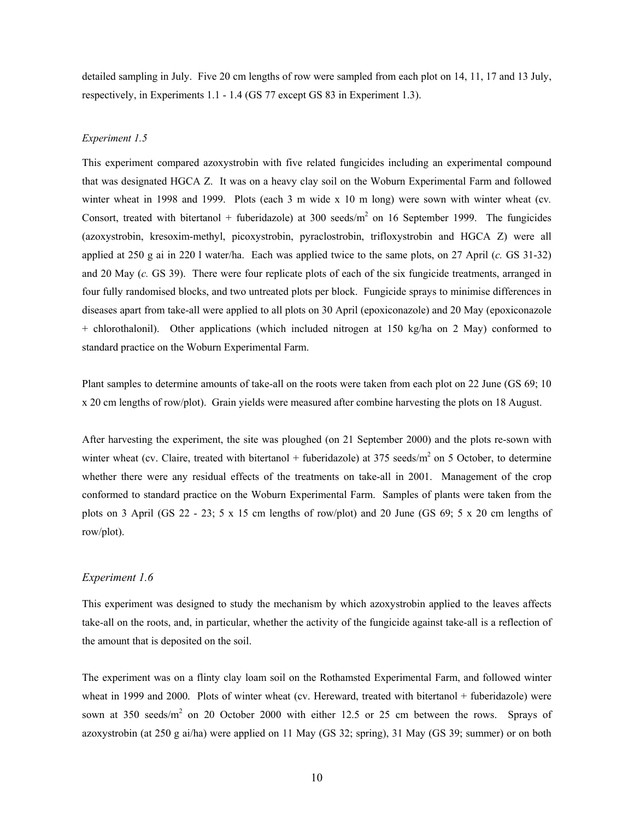detailed sampling in July. Five 20 cm lengths of row were sampled from each plot on 14, 11, 17 and 13 July, respectively, in Experiments 1.1 - 1.4 (GS 77 except GS 83 in Experiment 1.3).

#### *Experiment 1.5*

This experiment compared azoxystrobin with five related fungicides including an experimental compound that was designated HGCA Z. It was on a heavy clay soil on the Woburn Experimental Farm and followed winter wheat in 1998 and 1999. Plots (each 3 m wide x 10 m long) were sown with winter wheat (cv*.* Consort, treated with bitertanol + fuberidazole) at 300 seeds/ $m<sup>2</sup>$  on 16 September 1999. The fungicides (azoxystrobin, kresoxim-methyl, picoxystrobin, pyraclostrobin, trifloxystrobin and HGCA Z) were all applied at 250 g ai in 220 l water/ha. Each was applied twice to the same plots, on 27 April (*c.* GS 31-32) and 20 May (*c.* GS 39). There were four replicate plots of each of the six fungicide treatments, arranged in four fully randomised blocks, and two untreated plots per block. Fungicide sprays to minimise differences in diseases apart from take-all were applied to all plots on 30 April (epoxiconazole) and 20 May (epoxiconazole + chlorothalonil). Other applications (which included nitrogen at 150 kg/ha on 2 May) conformed to standard practice on the Woburn Experimental Farm.

Plant samples to determine amounts of take-all on the roots were taken from each plot on 22 June (GS 69; 10 x 20 cm lengths of row/plot). Grain yields were measured after combine harvesting the plots on 18 August.

After harvesting the experiment, the site was ploughed (on 21 September 2000) and the plots re-sown with winter wheat (cv. Claire, treated with bitertanol  $+$  fuberidazole) at 375 seeds/ $m<sup>2</sup>$  on 5 October, to determine whether there were any residual effects of the treatments on take-all in 2001. Management of the crop conformed to standard practice on the Woburn Experimental Farm. Samples of plants were taken from the plots on 3 April (GS  $22 - 23$ ; 5 x 15 cm lengths of row/plot) and 20 June (GS  $69$ ; 5 x 20 cm lengths of row/plot).

#### *Experiment 1.6*

This experiment was designed to study the mechanism by which azoxystrobin applied to the leaves affects take-all on the roots, and, in particular, whether the activity of the fungicide against take-all is a reflection of the amount that is deposited on the soil.

The experiment was on a flinty clay loam soil on the Rothamsted Experimental Farm, and followed winter wheat in 1999 and 2000. Plots of winter wheat (cv. Hereward, treated with bitertanol + fuberidazole) were sown at 350 seeds/ $m^2$  on 20 October 2000 with either 12.5 or 25 cm between the rows. Sprays of azoxystrobin (at 250 g ai/ha) were applied on 11 May (GS 32; spring), 31 May (GS 39; summer) or on both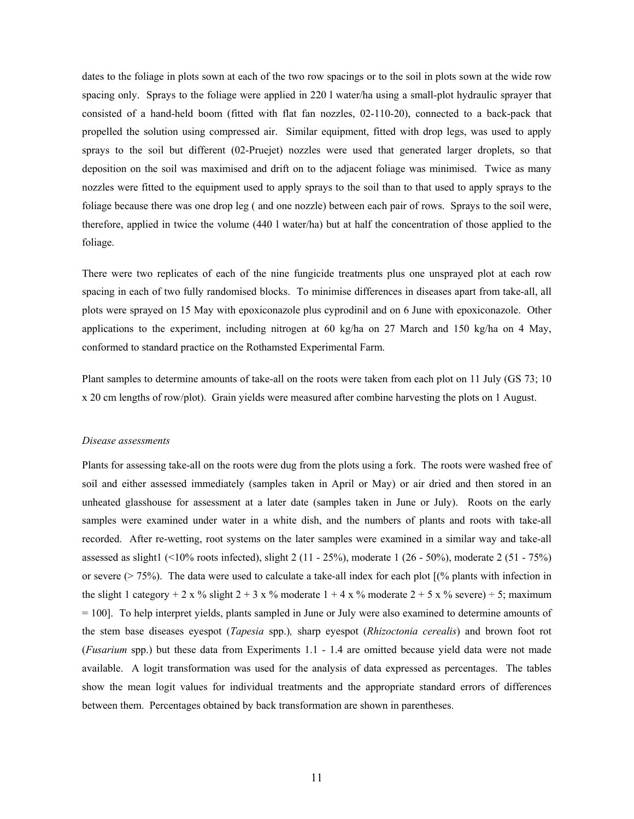dates to the foliage in plots sown at each of the two row spacings or to the soil in plots sown at the wide row spacing only. Sprays to the foliage were applied in 220 l water/ha using a small-plot hydraulic sprayer that consisted of a hand-held boom (fitted with flat fan nozzles, 02-110-20), connected to a back-pack that propelled the solution using compressed air. Similar equipment, fitted with drop legs, was used to apply sprays to the soil but different (02-Pruejet) nozzles were used that generated larger droplets, so that deposition on the soil was maximised and drift on to the adjacent foliage was minimised. Twice as many nozzles were fitted to the equipment used to apply sprays to the soil than to that used to apply sprays to the foliage because there was one drop leg ( and one nozzle) between each pair of rows. Sprays to the soil were, therefore, applied in twice the volume (440 l water/ha) but at half the concentration of those applied to the foliage.

There were two replicates of each of the nine fungicide treatments plus one unsprayed plot at each row spacing in each of two fully randomised blocks. To minimise differences in diseases apart from take-all, all plots were sprayed on 15 May with epoxiconazole plus cyprodinil and on 6 June with epoxiconazole. Other applications to the experiment, including nitrogen at 60 kg/ha on 27 March and 150 kg/ha on 4 May, conformed to standard practice on the Rothamsted Experimental Farm.

Plant samples to determine amounts of take-all on the roots were taken from each plot on 11 July (GS 73; 10 x 20 cm lengths of row/plot). Grain yields were measured after combine harvesting the plots on 1 August.

#### *Disease assessments*

Plants for assessing take-all on the roots were dug from the plots using a fork. The roots were washed free of soil and either assessed immediately (samples taken in April or May) or air dried and then stored in an unheated glasshouse for assessment at a later date (samples taken in June or July). Roots on the early samples were examined under water in a white dish, and the numbers of plants and roots with take-all recorded. After re-wetting, root systems on the later samples were examined in a similar way and take-all assessed as slight1 (<10% roots infected), slight 2 (11 - 25%), moderate 1 (26 - 50%), moderate 2 (51 - 75%) or severe (> 75%). The data were used to calculate a take-all index for each plot [(% plants with infection in the slight 1 category + 2 x % slight  $2 + 3$  x % moderate  $1 + 4$  x % moderate  $2 + 5$  x % severe) ÷ 5; maximum = 100]. To help interpret yields, plants sampled in June or July were also examined to determine amounts of the stem base diseases eyespot (*Tapesia* spp.)*,* sharp eyespot (*Rhizoctonia cerealis*) and brown foot rot (*Fusarium* spp.) but these data from Experiments 1.1 - 1.4 are omitted because yield data were not made available. A logit transformation was used for the analysis of data expressed as percentages. The tables show the mean logit values for individual treatments and the appropriate standard errors of differences between them. Percentages obtained by back transformation are shown in parentheses.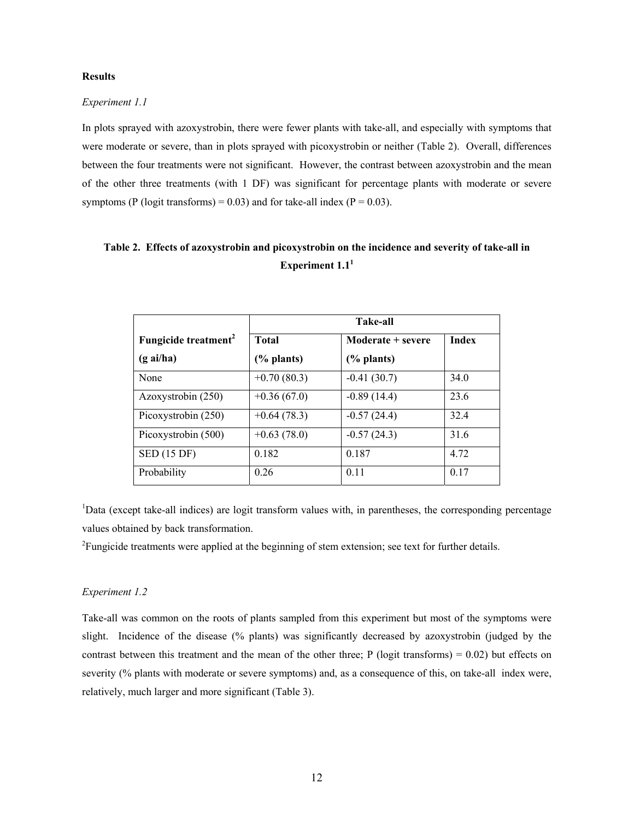### **Results**

### *Experiment 1.1*

In plots sprayed with azoxystrobin, there were fewer plants with take-all, and especially with symptoms that were moderate or severe, than in plots sprayed with picoxystrobin or neither (Table 2). Overall, differences between the four treatments were not significant. However, the contrast between azoxystrobin and the mean of the other three treatments (with 1 DF) was significant for percentage plants with moderate or severe symptoms (P (logit transforms) =  $0.03$ ) and for take-all index (P =  $0.03$ ).

# **Table 2. Effects of azoxystrobin and picoxystrobin on the incidence and severity of take-all in**  Experiment  $1.1<sup>1</sup>$

|                                  | <b>Take-all</b> |                   |              |  |  |
|----------------------------------|-----------------|-------------------|--------------|--|--|
| Fungicide treatment <sup>2</sup> | <b>Total</b>    | Moderate + severe | <b>Index</b> |  |  |
| $(g\text{ ai/ha})$               | (% plants)      | $(\%$ plants)     |              |  |  |
| None                             | $+0.70(80.3)$   | $-0.41(30.7)$     | 34.0         |  |  |
| Azoxystrobin (250)               | $+0.36(67.0)$   | $-0.89(14.4)$     | 23.6         |  |  |
| Picoxystrobin (250)              | $+0.64(78.3)$   | $-0.57(24.4)$     | 32.4         |  |  |
| Picoxystrobin (500)              | $+0.63(78.0)$   | $-0.57(24.3)$     | 31.6         |  |  |
| <b>SED</b> (15 DF)               | 0.182           | 0.187             | 4.72         |  |  |
| Probability                      | 0.26            | 0.11              | 0.17         |  |  |

<sup>1</sup>Data (except take-all indices) are logit transform values with, in parentheses, the corresponding percentage values obtained by back transformation.

<sup>2</sup> Fungicide treatments were applied at the beginning of stem extension; see text for further details.

### *Experiment 1.2*

Take-all was common on the roots of plants sampled from this experiment but most of the symptoms were slight. Incidence of the disease (% plants) was significantly decreased by azoxystrobin (judged by the contrast between this treatment and the mean of the other three;  $P$  (logit transforms) = 0.02) but effects on severity (% plants with moderate or severe symptoms) and, as a consequence of this, on take-all index were, relatively, much larger and more significant (Table 3).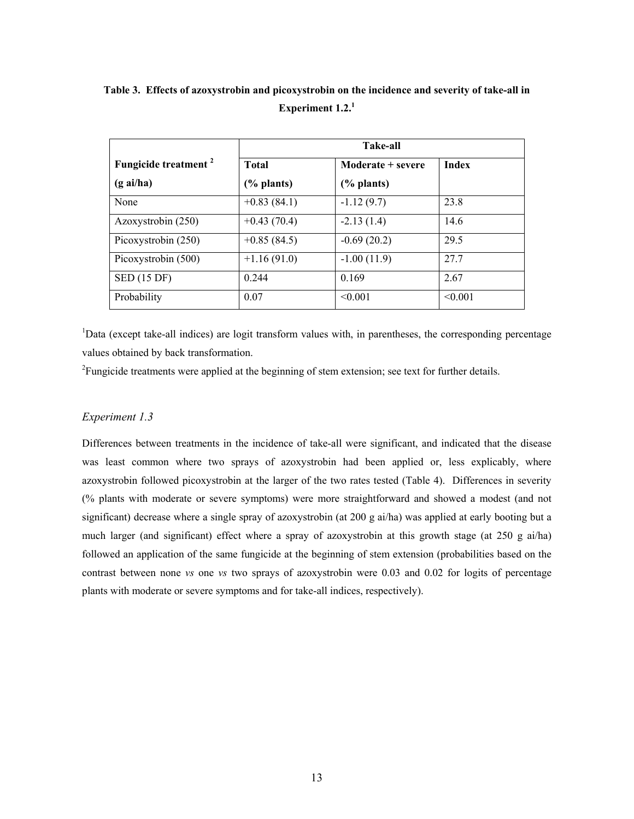|                                  |               | <b>Take-all</b>   |              |
|----------------------------------|---------------|-------------------|--------------|
| Fungicide treatment <sup>2</sup> | <b>Total</b>  | Moderate + severe | <b>Index</b> |
| $(g\text{ ai/ha})$               | $(\%$ plants) | $(\%$ plants)     |              |
| None                             | $+0.83(84.1)$ | $-1.12(9.7)$      | 23.8         |
| Azoxystrobin (250)               | $+0.43(70.4)$ | $-2.13(1.4)$      | 14.6         |
| Picoxystrobin (250)              | $+0.85(84.5)$ | $-0.69(20.2)$     | 29.5         |
| Picoxystrobin (500)              | $+1.16(91.0)$ | $-1.00(11.9)$     | 27.7         |
| SED (15 DF)                      | 0.244         | 0.169             | 2.67         |
| Probability                      | 0.07          | < 0.001           | < 0.001      |

**Table 3. Effects of azoxystrobin and picoxystrobin on the incidence and severity of take-all in Experiment 1.2.<sup>1</sup>**

<sup>1</sup>Data (except take-all indices) are logit transform values with, in parentheses, the corresponding percentage values obtained by back transformation.

<sup>2</sup> Fungicide treatments were applied at the beginning of stem extension; see text for further details.

## *Experiment 1.3*

Differences between treatments in the incidence of take-all were significant, and indicated that the disease was least common where two sprays of azoxystrobin had been applied or, less explicably, where azoxystrobin followed picoxystrobin at the larger of the two rates tested (Table 4). Differences in severity (% plants with moderate or severe symptoms) were more straightforward and showed a modest (and not significant) decrease where a single spray of azoxystrobin (at 200 g ai/ha) was applied at early booting but a much larger (and significant) effect where a spray of azoxystrobin at this growth stage (at 250 g ai/ha) followed an application of the same fungicide at the beginning of stem extension (probabilities based on the contrast between none *vs* one *vs* two sprays of azoxystrobin were 0.03 and 0.02 for logits of percentage plants with moderate or severe symptoms and for take-all indices, respectively).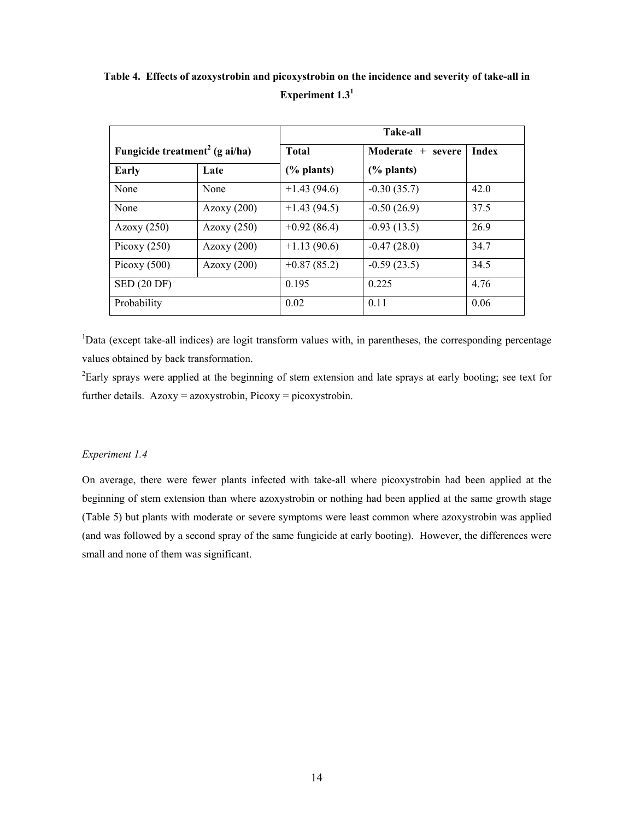|                                            |               | <b>Take-all</b> |                       |              |  |  |
|--------------------------------------------|---------------|-----------------|-----------------------|--------------|--|--|
| Fungicide treatment <sup>2</sup> (g ai/ha) |               | <b>Total</b>    | Moderate + severe     | <b>Index</b> |  |  |
| <b>Early</b>                               | Late          | $(\%$ plants)   | $\frac{6}{6}$ plants) |              |  |  |
| None                                       | None          | $+1.43(94.6)$   | $-0.30(35.7)$         | 42.0         |  |  |
| None                                       | Azoxy $(200)$ | $+1.43(94.5)$   | $-0.50(26.9)$         | 37.5         |  |  |
| Azoxy $(250)$                              | Azoxy $(250)$ | $+0.92(86.4)$   | $-0.93(13.5)$         | 26.9         |  |  |
| Picoxy $(250)$                             | Azoxy $(200)$ | $+1.13(90.6)$   | $-0.47(28.0)$         | 34.7         |  |  |
| Picoxy $(500)$                             | Azoxy $(200)$ | $+0.87(85.2)$   | $-0.59(23.5)$         | 34.5         |  |  |
| <b>SED (20 DF)</b>                         |               | 0.195           | 0 2 2 5               | 4.76         |  |  |
| Probability                                |               | 0.02            | 0.11                  | 0.06         |  |  |

**Table 4. Effects of azoxystrobin and picoxystrobin on the incidence and severity of take-all in Experiment 1.31**

<sup>1</sup>Data (except take-all indices) are logit transform values with, in parentheses, the corresponding percentage values obtained by back transformation.

 $2$ Early sprays were applied at the beginning of stem extension and late sprays at early booting; see text for further details. Azoxy = azoxystrobin, Picoxy = picoxystrobin.

#### *Experiment 1.4*

On average, there were fewer plants infected with take-all where picoxystrobin had been applied at the beginning of stem extension than where azoxystrobin or nothing had been applied at the same growth stage (Table 5) but plants with moderate or severe symptoms were least common where azoxystrobin was applied (and was followed by a second spray of the same fungicide at early booting). However, the differences were small and none of them was significant.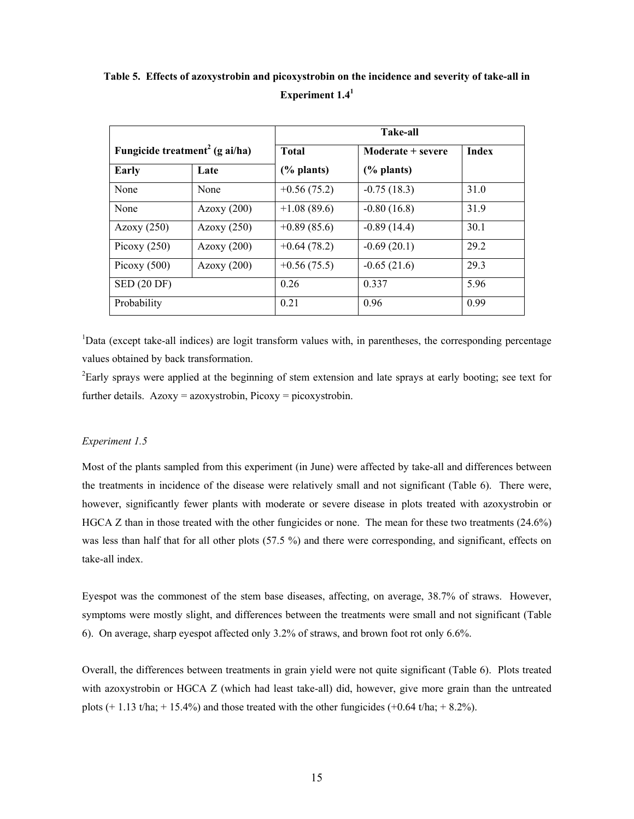|                                            |               |               | <b>Take-all</b>   |              |
|--------------------------------------------|---------------|---------------|-------------------|--------------|
| Fungicide treatment <sup>2</sup> (g ai/ha) |               | <b>Total</b>  | Moderate + severe | <b>Index</b> |
| Early                                      | Late          | $(\%$ plants) | $(\%$ plants)     |              |
| None                                       | None          | $+0.56(75.2)$ | $-0.75(18.3)$     | 31.0         |
| None                                       | Azoxy $(200)$ | $+1.08(89.6)$ | $-0.80(16.8)$     | 31.9         |
| Azoxy $(250)$                              | Azoxy $(250)$ | $+0.89(85.6)$ | $-0.89(14.4)$     | 30.1         |
| Picoxy $(250)$                             | Azoxy (200)   | $+0.64(78.2)$ | $-0.69(20.1)$     | 29.2         |
| Picoxy $(500)$                             | Azoxy $(200)$ | $+0.56(75.5)$ | $-0.65(21.6)$     | 29.3         |
| SED (20 DF)                                |               | 0.26          | 0.337             | 5.96         |
| Probability                                |               | 0.21          | 0.96              | 0.99         |

**Table 5. Effects of azoxystrobin and picoxystrobin on the incidence and severity of take-all in Experiment 1.41**

<sup>1</sup>Data (except take-all indices) are logit transform values with, in parentheses, the corresponding percentage values obtained by back transformation.

<sup>2</sup>Early sprays were applied at the beginning of stem extension and late sprays at early booting; see text for further details.  $Azoxy = azoxystrobin, Picoxy = picoxystrobin.$ 

#### *Experiment 1.5*

Most of the plants sampled from this experiment (in June) were affected by take-all and differences between the treatments in incidence of the disease were relatively small and not significant (Table 6). There were, however, significantly fewer plants with moderate or severe disease in plots treated with azoxystrobin or HGCA Z than in those treated with the other fungicides or none. The mean for these two treatments (24.6%) was less than half that for all other plots (57.5 %) and there were corresponding, and significant, effects on take-all index.

Eyespot was the commonest of the stem base diseases, affecting, on average, 38.7% of straws. However, symptoms were mostly slight, and differences between the treatments were small and not significant (Table 6). On average, sharp eyespot affected only 3.2% of straws, and brown foot rot only 6.6%.

Overall, the differences between treatments in grain yield were not quite significant (Table 6). Plots treated with azoxystrobin or HGCA Z (which had least take-all) did, however, give more grain than the untreated plots  $(+ 1.13 \text{ t/ha}; + 15.4\%)$  and those treated with the other fungicides  $(+0.64 \text{ t/ha}; + 8.2\%)$ .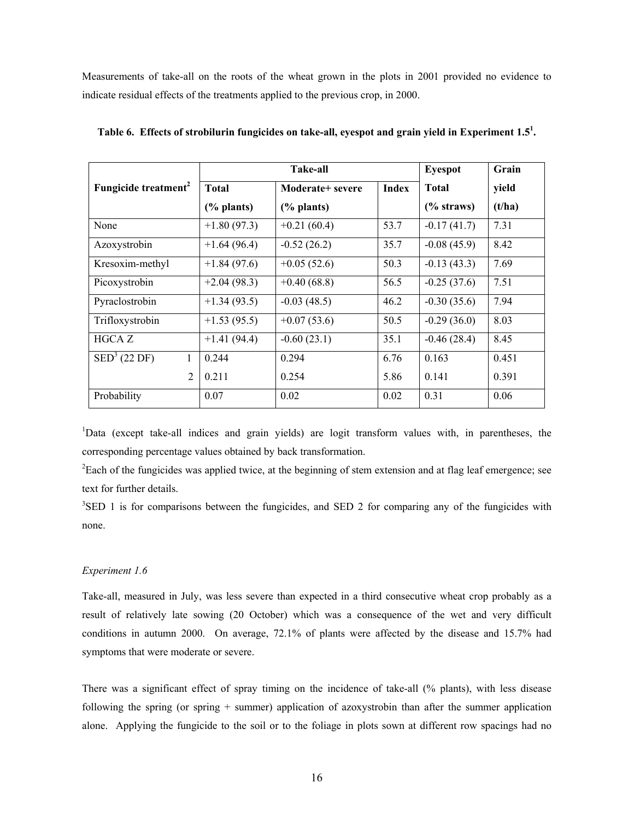Measurements of take-all on the roots of the wheat grown in the plots in 2001 provided no evidence to indicate residual effects of the treatments applied to the previous crop, in 2000.

|                                  |               | <b>Take-all</b>  | <b>Eyespot</b> | Grain         |        |
|----------------------------------|---------------|------------------|----------------|---------------|--------|
| Fungicide treatment <sup>2</sup> | <b>Total</b>  | Moderate+ severe | <b>Index</b>   | <b>Total</b>  | yield  |
|                                  | $(\%$ plants) | $(\%$ plants)    |                | $(\%$ straws) | (t/ha) |
| None                             | $+1.80(97.3)$ | $+0.21(60.4)$    | 53.7           | $-0.17(41.7)$ | 7.31   |
| Azoxystrobin                     | $+1.64(96.4)$ | $-0.52(26.2)$    | 35.7           | $-0.08(45.9)$ | 8.42   |
| Kresoxim-methyl                  | $+1.84(97.6)$ | $+0.05(52.6)$    | 50.3           | $-0.13(43.3)$ | 7.69   |
| Picoxystrobin                    | $+2.04(98.3)$ | $+0.40(68.8)$    | 56.5           | $-0.25(37.6)$ | 7.51   |
| Pyraclostrobin                   | $+1.34(93.5)$ | $-0.03(48.5)$    | 46.2           | $-0.30(35.6)$ | 7.94   |
| Trifloxystrobin                  | $+1.53(95.5)$ | $+0.07(53.6)$    | 50.5           | $-0.29(36.0)$ | 8.03   |
| HGCA Z                           | $+1.41(94.4)$ | $-0.60(23.1)$    | 35.1           | $-0.46(28.4)$ | 8.45   |
| $\text{SED}^3$ (22 DF)<br>1      | 0.244         | 0.294            | 6.76           | 0.163         | 0.451  |
| $\overline{2}$                   | 0.211         | 0.254            | 5.86           | 0.141         | 0.391  |
| Probability                      | 0.07          | 0.02             | 0.02           | 0.31          | 0.06   |

**Table 6. Effects of strobilurin fungicides on take-all, eyespot and grain yield in Experiment 1.51 .** 

<sup>1</sup>Data (except take-all indices and grain yields) are logit transform values with, in parentheses, the corresponding percentage values obtained by back transformation.

 ${}^{2}$ Each of the fungicides was applied twice, at the beginning of stem extension and at flag leaf emergence; see text for further details.

 $3$ SED 1 is for comparisons between the fungicides, and SED 2 for comparing any of the fungicides with none.

## *Experiment 1.6*

Take-all, measured in July, was less severe than expected in a third consecutive wheat crop probably as a result of relatively late sowing (20 October) which was a consequence of the wet and very difficult conditions in autumn 2000. On average, 72.1% of plants were affected by the disease and 15.7% had symptoms that were moderate or severe.

There was a significant effect of spray timing on the incidence of take-all (% plants), with less disease following the spring (or spring + summer) application of azoxystrobin than after the summer application alone. Applying the fungicide to the soil or to the foliage in plots sown at different row spacings had no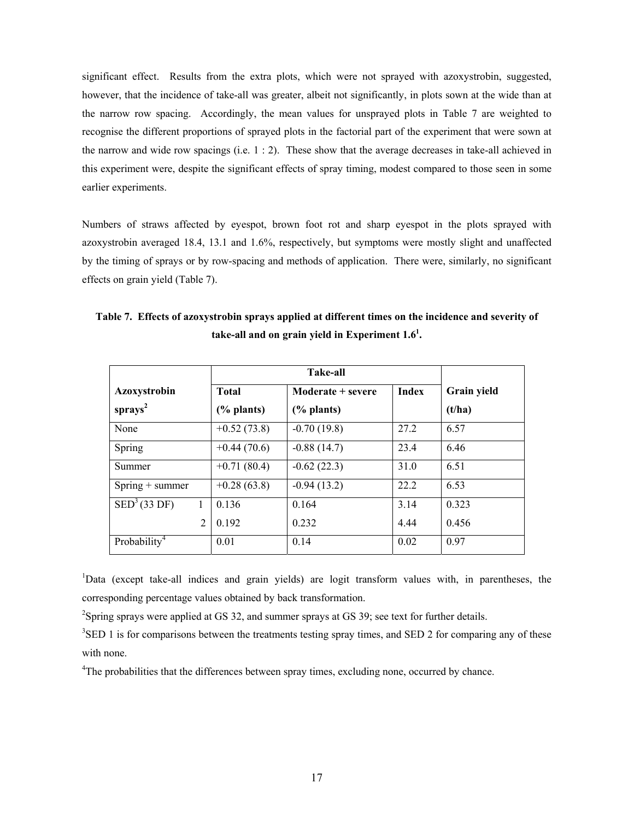significant effect. Results from the extra plots, which were not sprayed with azoxystrobin, suggested, however, that the incidence of take-all was greater, albeit not significantly, in plots sown at the wide than at the narrow row spacing. Accordingly, the mean values for unsprayed plots in Table 7 are weighted to recognise the different proportions of sprayed plots in the factorial part of the experiment that were sown at the narrow and wide row spacings (i.e.  $1:2$ ). These show that the average decreases in take-all achieved in this experiment were, despite the significant effects of spray timing, modest compared to those seen in some earlier experiments.

Numbers of straws affected by eyespot, brown foot rot and sharp eyespot in the plots sprayed with azoxystrobin averaged 18.4, 13.1 and 1.6%, respectively, but symptoms were mostly slight and unaffected by the timing of sprays or by row-spacing and methods of application. There were, similarly, no significant effects on grain yield (Table 7).

| Azoxystrobin             | <b>Total</b>          | Moderate + severe | <b>Index</b> | <b>Grain yield</b> |
|--------------------------|-----------------------|-------------------|--------------|--------------------|
| sprays <sup>2</sup>      | $\frac{6}{6}$ plants) | (% plants)        |              | (t/ha)             |
| None                     | $+0.52(73.8)$         | $-0.70(19.8)$     | 27.2         | 6.57               |
| Spring                   | $+0.44(70.6)$         | $-0.88(14.7)$     | 23.4         | 6.46               |
| Summer                   | $+0.71(80.4)$         | $-0.62(22.3)$     | 31.0         | 6.51               |
| $Spring + summer$        | $+0.28(63.8)$         | $-0.94(13.2)$     | 22.2         | 6.53               |
| SED <sup>3</sup> (33 DF) | 0.136                 | 0.164             | 3.14         | 0.323              |
| $\overline{2}$           | 0.192                 | 0.232             | 4.44         | 0.456              |
| Probability <sup>4</sup> | 0.01                  | 0.14              | 0.02         | 0.97               |

**Table 7. Effects of azoxystrobin sprays applied at different times on the incidence and severity of**  take-all and on grain yield in Experiment  $1.6<sup>1</sup>$ .

<sup>1</sup>Data (except take-all indices and grain yields) are logit transform values with, in parentheses, the corresponding percentage values obtained by back transformation.

<sup>2</sup>Spring sprays were applied at GS 32, and summer sprays at GS 39; see text for further details.

 $3$ SED 1 is for comparisons between the treatments testing spray times, and SED 2 for comparing any of these with none.

<sup>4</sup>The probabilities that the differences between spray times, excluding none, occurred by chance.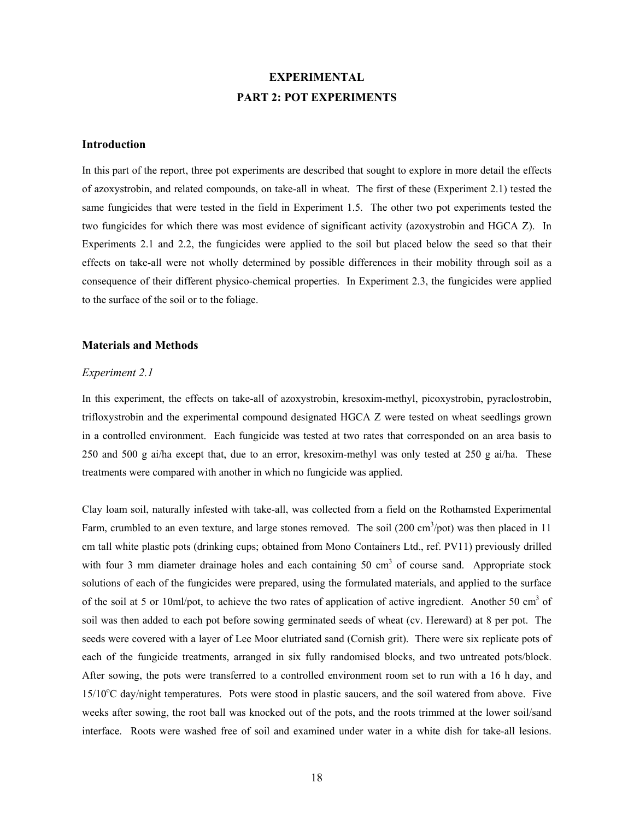# **EXPERIMENTAL PART 2: POT EXPERIMENTS**

### **Introduction**

In this part of the report, three pot experiments are described that sought to explore in more detail the effects of azoxystrobin, and related compounds, on take-all in wheat. The first of these (Experiment 2.1) tested the same fungicides that were tested in the field in Experiment 1.5. The other two pot experiments tested the two fungicides for which there was most evidence of significant activity (azoxystrobin and HGCA Z). In Experiments 2.1 and 2.2, the fungicides were applied to the soil but placed below the seed so that their effects on take-all were not wholly determined by possible differences in their mobility through soil as a consequence of their different physico-chemical properties. In Experiment 2.3, the fungicides were applied to the surface of the soil or to the foliage.

#### **Materials and Methods**

#### *Experiment 2.1*

In this experiment, the effects on take-all of azoxystrobin, kresoxim-methyl, picoxystrobin, pyraclostrobin, trifloxystrobin and the experimental compound designated HGCA Z were tested on wheat seedlings grown in a controlled environment. Each fungicide was tested at two rates that corresponded on an area basis to 250 and 500 g ai/ha except that, due to an error, kresoxim-methyl was only tested at 250 g ai/ha. These treatments were compared with another in which no fungicide was applied.

Clay loam soil, naturally infested with take-all, was collected from a field on the Rothamsted Experimental Farm, crumbled to an even texture, and large stones removed. The soil  $(200 \text{ cm}^3/\text{pot})$  was then placed in 11 cm tall white plastic pots (drinking cups; obtained from Mono Containers Ltd., ref. PV11) previously drilled with four 3 mm diameter drainage holes and each containing 50  $cm<sup>3</sup>$  of course sand. Appropriate stock solutions of each of the fungicides were prepared, using the formulated materials, and applied to the surface of the soil at 5 or 10ml/pot, to achieve the two rates of application of active ingredient. Another 50 cm<sup>3</sup> of soil was then added to each pot before sowing germinated seeds of wheat (cv. Hereward) at 8 per pot. The seeds were covered with a layer of Lee Moor elutriated sand (Cornish grit). There were six replicate pots of each of the fungicide treatments, arranged in six fully randomised blocks, and two untreated pots/block. After sowing, the pots were transferred to a controlled environment room set to run with a 16 h day, and 15/10°C day/night temperatures. Pots were stood in plastic saucers, and the soil watered from above. Five weeks after sowing, the root ball was knocked out of the pots, and the roots trimmed at the lower soil/sand interface. Roots were washed free of soil and examined under water in a white dish for take-all lesions.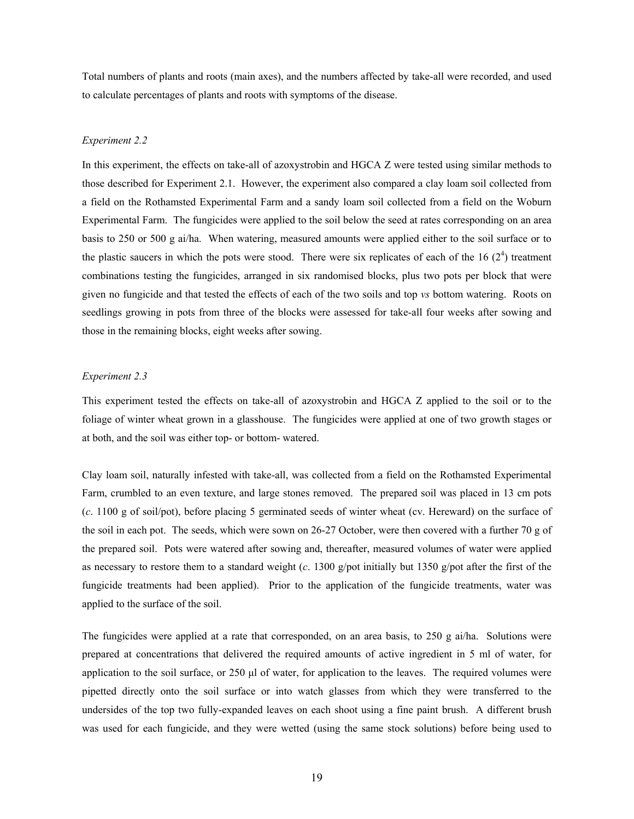Total numbers of plants and roots (main axes), and the numbers affected by take-all were recorded, and used to calculate percentages of plants and roots with symptoms of the disease.

### *Experiment 2.2*

In this experiment, the effects on take-all of azoxystrobin and HGCA Z were tested using similar methods to those described for Experiment 2.1. However, the experiment also compared a clay loam soil collected from a field on the Rothamsted Experimental Farm and a sandy loam soil collected from a field on the Woburn Experimental Farm. The fungicides were applied to the soil below the seed at rates corresponding on an area basis to 250 or 500 g ai/ha. When watering, measured amounts were applied either to the soil surface or to the plastic saucers in which the pots were stood. There were six replicates of each of the  $16 (2<sup>4</sup>)$  treatment combinations testing the fungicides, arranged in six randomised blocks, plus two pots per block that were given no fungicide and that tested the effects of each of the two soils and top *vs* bottom watering. Roots on seedlings growing in pots from three of the blocks were assessed for take-all four weeks after sowing and those in the remaining blocks, eight weeks after sowing.

#### *Experiment 2.3*

This experiment tested the effects on take-all of azoxystrobin and HGCA Z applied to the soil or to the foliage of winter wheat grown in a glasshouse. The fungicides were applied at one of two growth stages or at both, and the soil was either top- or bottom- watered.

Clay loam soil, naturally infested with take-all, was collected from a field on the Rothamsted Experimental Farm, crumbled to an even texture, and large stones removed. The prepared soil was placed in 13 cm pots (*c*. 1100 g of soil/pot), before placing 5 germinated seeds of winter wheat (cv. Hereward) on the surface of the soil in each pot. The seeds, which were sown on 26-27 October, were then covered with a further 70 g of the prepared soil. Pots were watered after sowing and, thereafter, measured volumes of water were applied as necessary to restore them to a standard weight (*c*. 1300 g/pot initially but 1350 g/pot after the first of the fungicide treatments had been applied). Prior to the application of the fungicide treatments, water was applied to the surface of the soil.

The fungicides were applied at a rate that corresponded, on an area basis, to 250 g ai/ha. Solutions were prepared at concentrations that delivered the required amounts of active ingredient in 5 ml of water, for application to the soil surface, or  $250 \mu$  of water, for application to the leaves. The required volumes were pipetted directly onto the soil surface or into watch glasses from which they were transferred to the undersides of the top two fully-expanded leaves on each shoot using a fine paint brush. A different brush was used for each fungicide, and they were wetted (using the same stock solutions) before being used to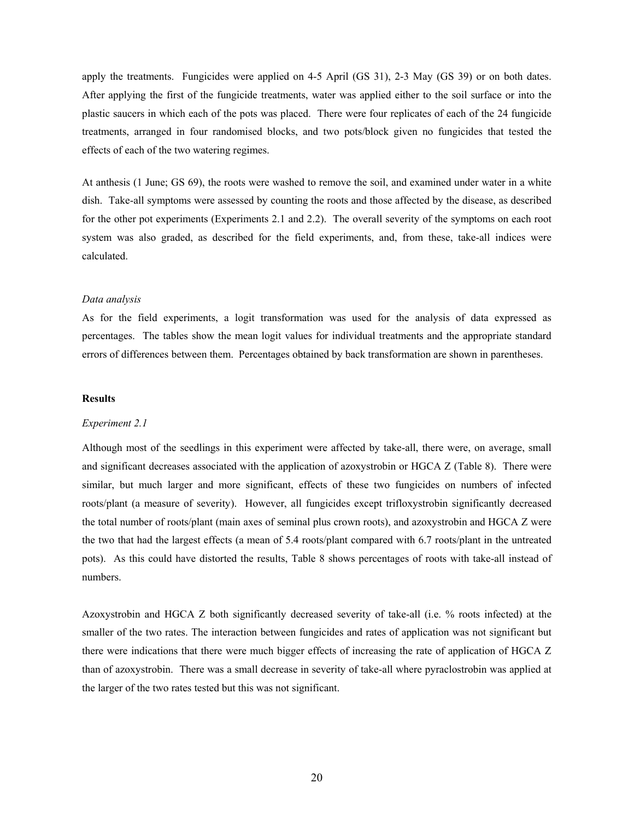apply the treatments. Fungicides were applied on 4-5 April (GS 31), 2-3 May (GS 39) or on both dates. After applying the first of the fungicide treatments, water was applied either to the soil surface or into the plastic saucers in which each of the pots was placed. There were four replicates of each of the 24 fungicide treatments, arranged in four randomised blocks, and two pots/block given no fungicides that tested the effects of each of the two watering regimes.

At anthesis (1 June; GS 69), the roots were washed to remove the soil, and examined under water in a white dish. Take-all symptoms were assessed by counting the roots and those affected by the disease, as described for the other pot experiments (Experiments 2.1 and 2.2). The overall severity of the symptoms on each root system was also graded, as described for the field experiments, and, from these, take-all indices were calculated.

#### *Data analysis*

As for the field experiments, a logit transformation was used for the analysis of data expressed as percentages. The tables show the mean logit values for individual treatments and the appropriate standard errors of differences between them. Percentages obtained by back transformation are shown in parentheses.

#### **Results**

#### *Experiment 2.1*

Although most of the seedlings in this experiment were affected by take-all, there were, on average, small and significant decreases associated with the application of azoxystrobin or HGCA Z (Table 8). There were similar, but much larger and more significant, effects of these two fungicides on numbers of infected roots/plant (a measure of severity). However, all fungicides except trifloxystrobin significantly decreased the total number of roots/plant (main axes of seminal plus crown roots), and azoxystrobin and HGCA Z were the two that had the largest effects (a mean of 5.4 roots/plant compared with 6.7 roots/plant in the untreated pots). As this could have distorted the results, Table 8 shows percentages of roots with take-all instead of numbers.

Azoxystrobin and HGCA Z both significantly decreased severity of take-all (i.e. % roots infected) at the smaller of the two rates. The interaction between fungicides and rates of application was not significant but there were indications that there were much bigger effects of increasing the rate of application of HGCA Z than of azoxystrobin. There was a small decrease in severity of take-all where pyraclostrobin was applied at the larger of the two rates tested but this was not significant.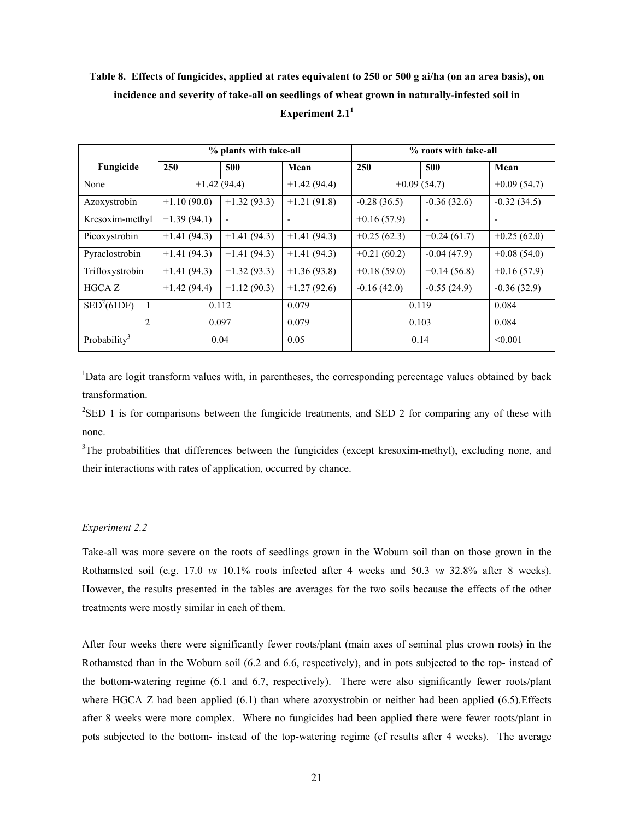# **Table 8. Effects of fungicides, applied at rates equivalent to 250 or 500 g ai/ha (on an area basis), on incidence and severity of take-all on seedlings of wheat grown in naturally-infested soil in**  Experiment 2.1<sup>1</sup>

|                                 |               | % plants with take-all   |               | % roots with take-all |               |                          |
|---------------------------------|---------------|--------------------------|---------------|-----------------------|---------------|--------------------------|
| Fungicide                       | 250           | 500                      | Mean          | 250                   | 500           | Mean                     |
| None                            |               | $+1.42(94.4)$            | $+1.42(94.4)$ |                       | $+0.09(54.7)$ | $+0.09(54.7)$            |
| Azoxystrobin                    | $+1.10(90.0)$ | $+1.32(93.3)$            | $+1.21(91.8)$ | $-0.28(36.5)$         | $-0.36(32.6)$ | $-0.32(34.5)$            |
| Kresoxim-methyl                 | $+1.39(94.1)$ | $\overline{\phantom{a}}$ | ۰             | $+0.16(57.9)$         | ٠             | $\overline{\phantom{a}}$ |
| Picoxystrobin                   | $+1.41(94.3)$ | $+1.41(94.3)$            | $+1.41(94.3)$ | $+0.25(62.3)$         | $+0.24(61.7)$ | $+0.25(62.0)$            |
| Pyraclostrobin                  | $+1.41(94.3)$ | $+1.41(94.3)$            | $+1.41(94.3)$ | $+0.21(60.2)$         | $-0.04(47.9)$ | $+0.08(54.0)$            |
| Trifloxystrobin                 | $+1.41(94.3)$ | $+1.32(93.3)$            | $+1.36(93.8)$ | $+0.18(59.0)$         | $+0.14(56.8)$ | $+0.16(57.9)$            |
| HGCA Z                          | $+1.42(94.4)$ | $+1.12(90.3)$            | $+1.27(92.6)$ | $-0.16(42.0)$         | $-0.55(24.9)$ | $-0.36(32.9)$            |
| $\overline{\text{SED}^2(61DF)}$ |               | 0.112                    | 0.079         |                       | 0.119         | 0.084                    |
| 2                               | 0.097         |                          | 0.079         | 0.103                 |               | 0.084                    |
| Probability <sup>3</sup>        |               | 0.04                     | 0.05          |                       | 0.14          | < 0.001                  |

<sup>1</sup>Data are logit transform values with, in parentheses, the corresponding percentage values obtained by back transformation.

 $2$ SED 1 is for comparisons between the fungicide treatments, and SED 2 for comparing any of these with none.

<sup>3</sup>The probabilities that differences between the fungicides (except kresoxim-methyl), excluding none, and their interactions with rates of application, occurred by chance.

### *Experiment 2.2*

Take-all was more severe on the roots of seedlings grown in the Woburn soil than on those grown in the Rothamsted soil (e.g. 17.0 *vs* 10.1% roots infected after 4 weeks and 50.3 *vs* 32.8% after 8 weeks). However, the results presented in the tables are averages for the two soils because the effects of the other treatments were mostly similar in each of them.

After four weeks there were significantly fewer roots/plant (main axes of seminal plus crown roots) in the Rothamsted than in the Woburn soil (6.2 and 6.6, respectively), and in pots subjected to the top- instead of the bottom-watering regime (6.1 and 6.7, respectively). There were also significantly fewer roots/plant where HGCA  $Z$  had been applied (6.1) than where azoxystrobin or neither had been applied (6.5). Effects after 8 weeks were more complex. Where no fungicides had been applied there were fewer roots/plant in pots subjected to the bottom- instead of the top-watering regime (cf results after 4 weeks). The average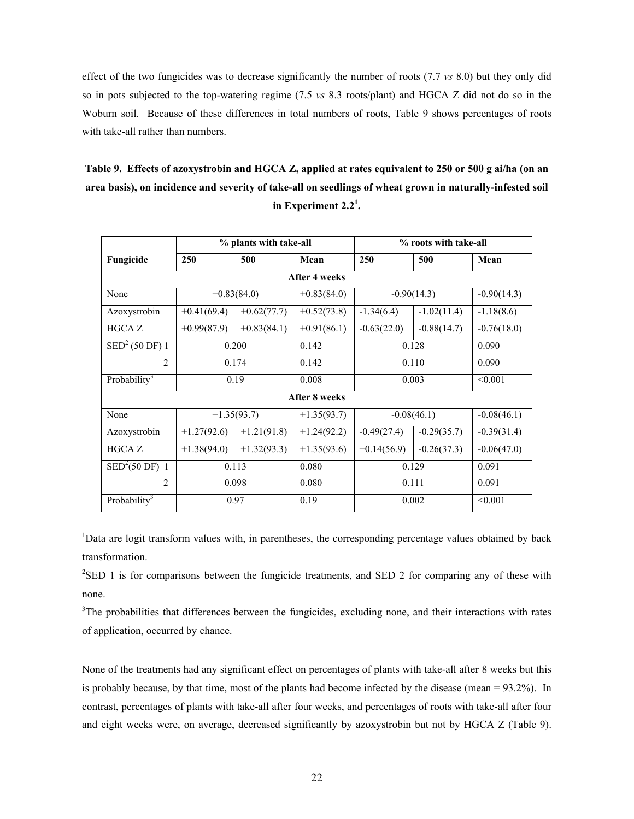effect of the two fungicides was to decrease significantly the number of roots (7.7 *vs* 8.0) but they only did so in pots subjected to the top-watering regime (7.5 *vs* 8.3 roots/plant) and HGCA Z did not do so in the Woburn soil. Because of these differences in total numbers of roots, Table 9 shows percentages of roots with take-all rather than numbers.

**Table 9. Effects of azoxystrobin and HGCA Z, applied at rates equivalent to 250 or 500 g ai/ha (on an area basis), on incidence and severity of take-all on seedlings of wheat grown in naturally-infested soil in Experiment 2.21 .** 

| % plants with take-all     |               |               |               | % roots with take-all |               |               |  |
|----------------------------|---------------|---------------|---------------|-----------------------|---------------|---------------|--|
| Fungicide                  | 250           | 500           | Mean          | 250                   | 500           | Mean          |  |
|                            | After 4 weeks |               |               |                       |               |               |  |
| None                       |               | $+0.83(84.0)$ | $+0.83(84.0)$ |                       | $-0.90(14.3)$ | $-0.90(14.3)$ |  |
| Azoxystrobin               | $+0.41(69.4)$ | $+0.62(77.7)$ | $+0.52(73.8)$ | $-1.34(6.4)$          | $-1.02(11.4)$ | $-1.18(8.6)$  |  |
| <b>HGCAZ</b>               | $+0.99(87.9)$ | $+0.83(84.1)$ | $+0.91(86.1)$ | $-0.63(22.0)$         | $-0.88(14.7)$ | $-0.76(18.0)$ |  |
| SED <sup>2</sup> (50 DF) 1 |               | 0.200         | 0.142         | 0.128                 |               | 0.090         |  |
| $\overline{c}$             | 0.174         |               | 0.142         | 0.110                 |               | 0.090         |  |
| Probability <sup>3</sup>   |               | 0.19          | 0.008         | 0.003                 |               | < 0.001       |  |
|                            |               |               | After 8 weeks |                       |               |               |  |
| None                       |               | $+1.35(93.7)$ | $+1.35(93.7)$ |                       | $-0.08(46.1)$ | $-0.08(46.1)$ |  |
| Azoxystrobin               | $+1.27(92.6)$ | $+1.21(91.8)$ | $+1.24(92.2)$ | $-0.49(27.4)$         | $-0.29(35.7)$ | $-0.39(31.4)$ |  |
| <b>HGCAZ</b>               | $+1.38(94.0)$ | $+1.32(93.3)$ | $+1.35(93.6)$ | $+0.14(56.9)$         | $-0.26(37.3)$ | $-0.06(47.0)$ |  |
| SED <sup>2</sup> (50 DF) 1 | 0.113         |               | 0.080         | 0.129                 |               | 0.091         |  |
| $\overline{2}$             | 0.098         |               | 0.080         | 0.111                 |               | 0.091         |  |
| Probability <sup>3</sup>   |               | 0.97          | 0.19          | 0.002                 |               | < 0.001       |  |

<sup>1</sup>Data are logit transform values with, in parentheses, the corresponding percentage values obtained by back transformation.

 $2$ SED 1 is for comparisons between the fungicide treatments, and SED 2 for comparing any of these with none.

<sup>3</sup>The probabilities that differences between the fungicides, excluding none, and their interactions with rates of application, occurred by chance.

None of the treatments had any significant effect on percentages of plants with take-all after 8 weeks but this is probably because, by that time, most of the plants had become infected by the disease (mean = 93.2%). In contrast, percentages of plants with take-all after four weeks, and percentages of roots with take-all after four and eight weeks were, on average, decreased significantly by azoxystrobin but not by HGCA Z (Table 9).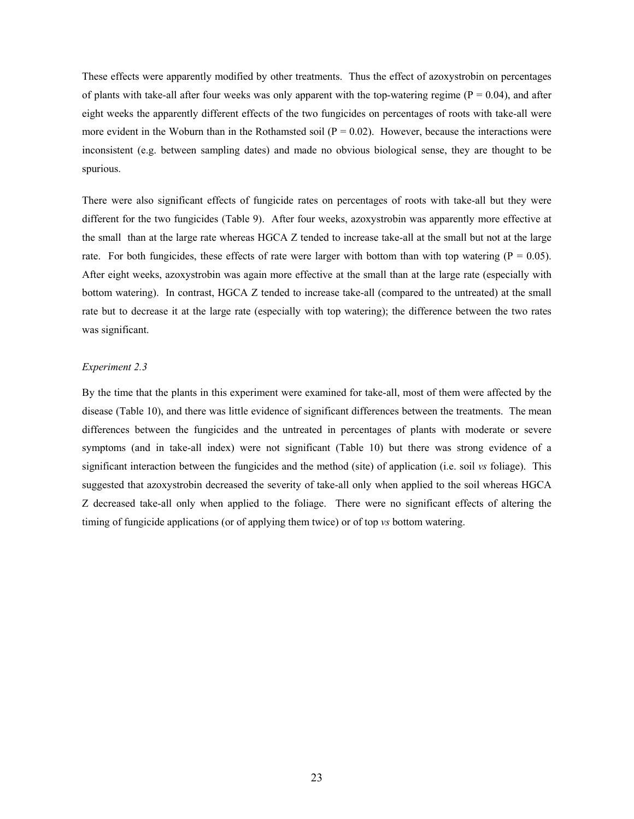These effects were apparently modified by other treatments. Thus the effect of azoxystrobin on percentages of plants with take-all after four weeks was only apparent with the top-watering regime  $(P = 0.04)$ , and after eight weeks the apparently different effects of the two fungicides on percentages of roots with take-all were more evident in the Woburn than in the Rothamsted soil ( $P = 0.02$ ). However, because the interactions were inconsistent (e.g. between sampling dates) and made no obvious biological sense, they are thought to be spurious.

There were also significant effects of fungicide rates on percentages of roots with take-all but they were different for the two fungicides (Table 9). After four weeks, azoxystrobin was apparently more effective at the small than at the large rate whereas HGCA Z tended to increase take-all at the small but not at the large rate. For both fungicides, these effects of rate were larger with bottom than with top watering ( $P = 0.05$ ). After eight weeks, azoxystrobin was again more effective at the small than at the large rate (especially with bottom watering). In contrast, HGCA Z tended to increase take-all (compared to the untreated) at the small rate but to decrease it at the large rate (especially with top watering); the difference between the two rates was significant.

#### *Experiment 2.3*

By the time that the plants in this experiment were examined for take-all, most of them were affected by the disease (Table 10), and there was little evidence of significant differences between the treatments. The mean differences between the fungicides and the untreated in percentages of plants with moderate or severe symptoms (and in take-all index) were not significant (Table 10) but there was strong evidence of a significant interaction between the fungicides and the method (site) of application (i.e. soil *vs* foliage). This suggested that azoxystrobin decreased the severity of take-all only when applied to the soil whereas HGCA Z decreased take-all only when applied to the foliage. There were no significant effects of altering the timing of fungicide applications (or of applying them twice) or of top *vs* bottom watering.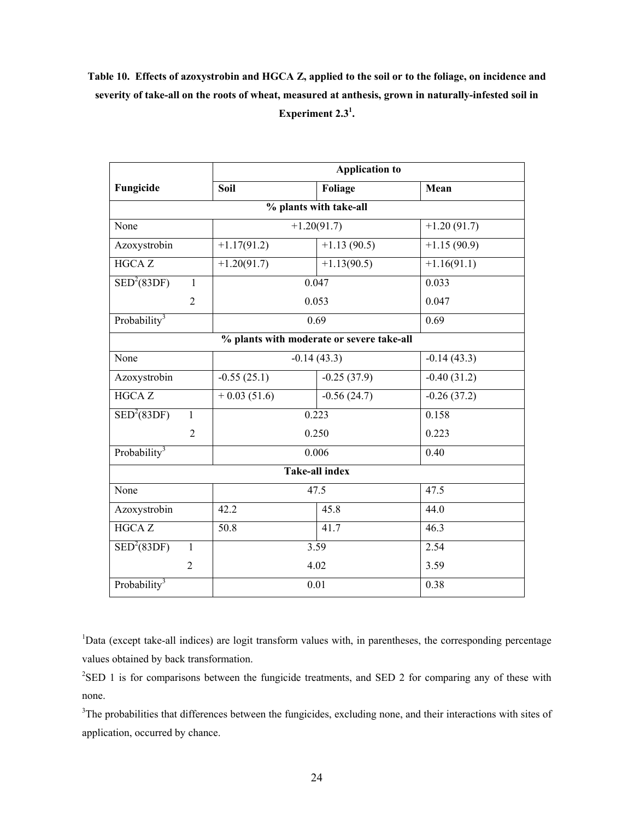# **Table 10. Effects of azoxystrobin and HGCA Z, applied to the soil or to the foliage, on incidence and severity of take-all on the roots of wheat, measured at anthesis, grown in naturally-infested soil in Experiment 2.31 .**

|                             |                | <b>Application to</b> |                                           |               |  |
|-----------------------------|----------------|-----------------------|-------------------------------------------|---------------|--|
| Fungicide                   |                | Soil                  | Foliage                                   | Mean          |  |
|                             |                |                       | % plants with take-all                    |               |  |
| None                        |                |                       | $+1.20(91.7)$                             | $+1.20(91.7)$ |  |
| Azoxystrobin                |                | $+1.17(91.2)$         | $+1.13(90.5)$                             | $+1.15(90.9)$ |  |
| <b>HGCAZ</b>                |                | $+1.20(91.7)$         | $+1.13(90.5)$                             | $+1.16(91.1)$ |  |
| SED <sup>2</sup> (83DF)     | $\mathbf{1}$   |                       | 0.047                                     | 0.033         |  |
|                             | $\overline{2}$ |                       | 0.053                                     | 0.047         |  |
| Probability <sup>3</sup>    |                |                       | 0.69                                      | 0.69          |  |
|                             |                |                       | % plants with moderate or severe take-all |               |  |
| None                        |                |                       | $-0.14(43.3)$                             | $-0.14(43.3)$ |  |
| Azoxystrobin                |                | $-0.55(25.1)$         | $-0.25(37.9)$                             | $-0.40(31.2)$ |  |
| <b>HGCAZ</b>                |                | $+0.03(51.6)$         | $-0.56(24.7)$                             | $-0.26(37.2)$ |  |
| $\text{SED}^2(83\text{DF})$ | $\mathbf{1}$   |                       | 0.223                                     | 0.158         |  |
|                             | $\overline{2}$ |                       | 0.250                                     | 0.223         |  |
| Probability <sup>3</sup>    |                |                       | 0.006                                     | 0.40          |  |
|                             |                |                       | Take-all index                            |               |  |
| None                        |                |                       | 47.5                                      | 47.5          |  |
| Azoxystrobin                |                | 42.2                  | 45.8                                      | 44.0          |  |
| <b>HGCAZ</b>                |                | 50.8                  | 41.7                                      | 46.3          |  |
| SED <sup>2</sup> (83DF)     | $\mathbf{1}$   | 3.59                  |                                           | 2.54          |  |
|                             | $\overline{2}$ |                       | 4.02                                      | 3.59          |  |
| Probability <sup>3</sup>    |                | 0.01                  |                                           | 0.38          |  |

<sup>1</sup>Data (except take-all indices) are logit transform values with, in parentheses, the corresponding percentage values obtained by back transformation.

 $2$ SED 1 is for comparisons between the fungicide treatments, and SED 2 for comparing any of these with none.

<sup>3</sup>The probabilities that differences between the fungicides, excluding none, and their interactions with sites of application, occurred by chance.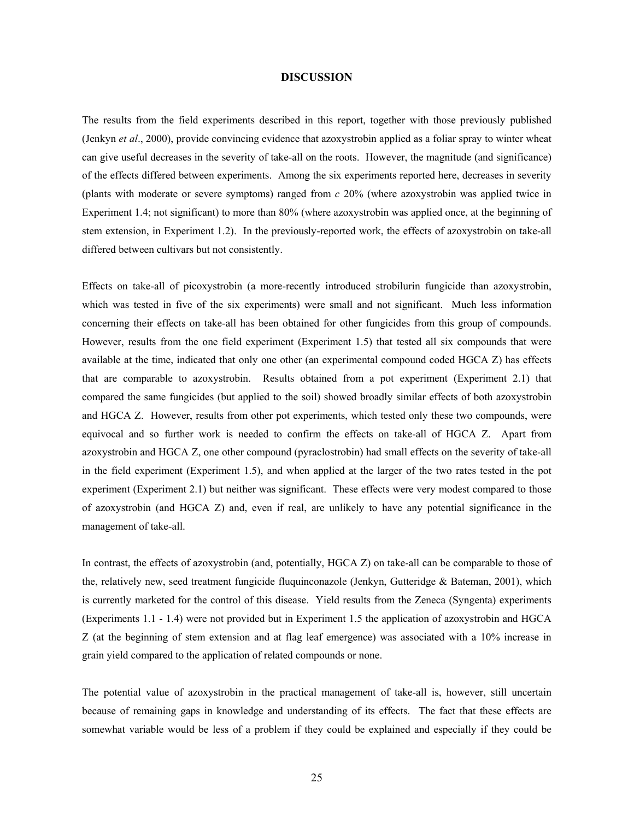#### **DISCUSSION**

The results from the field experiments described in this report, together with those previously published (Jenkyn *et al*., 2000), provide convincing evidence that azoxystrobin applied as a foliar spray to winter wheat can give useful decreases in the severity of take-all on the roots. However, the magnitude (and significance) of the effects differed between experiments. Among the six experiments reported here, decreases in severity (plants with moderate or severe symptoms) ranged from *c* 20% (where azoxystrobin was applied twice in Experiment 1.4; not significant) to more than 80% (where azoxystrobin was applied once, at the beginning of stem extension, in Experiment 1.2). In the previously-reported work, the effects of azoxystrobin on take-all differed between cultivars but not consistently.

Effects on take-all of picoxystrobin (a more-recently introduced strobilurin fungicide than azoxystrobin, which was tested in five of the six experiments) were small and not significant. Much less information concerning their effects on take-all has been obtained for other fungicides from this group of compounds. However, results from the one field experiment (Experiment 1.5) that tested all six compounds that were available at the time, indicated that only one other (an experimental compound coded HGCA Z) has effects that are comparable to azoxystrobin. Results obtained from a pot experiment (Experiment 2.1) that compared the same fungicides (but applied to the soil) showed broadly similar effects of both azoxystrobin and HGCA Z. However, results from other pot experiments, which tested only these two compounds, were equivocal and so further work is needed to confirm the effects on take-all of HGCA Z. Apart from azoxystrobin and HGCA Z, one other compound (pyraclostrobin) had small effects on the severity of take-all in the field experiment (Experiment 1.5), and when applied at the larger of the two rates tested in the pot experiment (Experiment 2.1) but neither was significant. These effects were very modest compared to those of azoxystrobin (and HGCA Z) and, even if real, are unlikely to have any potential significance in the management of take-all.

In contrast, the effects of azoxystrobin (and, potentially, HGCA Z) on take-all can be comparable to those of the, relatively new, seed treatment fungicide fluquinconazole (Jenkyn, Gutteridge & Bateman, 2001), which is currently marketed for the control of this disease. Yield results from the Zeneca (Syngenta) experiments (Experiments 1.1 - 1.4) were not provided but in Experiment 1.5 the application of azoxystrobin and HGCA Z (at the beginning of stem extension and at flag leaf emergence) was associated with a 10% increase in grain yield compared to the application of related compounds or none.

The potential value of azoxystrobin in the practical management of take-all is, however, still uncertain because of remaining gaps in knowledge and understanding of its effects. The fact that these effects are somewhat variable would be less of a problem if they could be explained and especially if they could be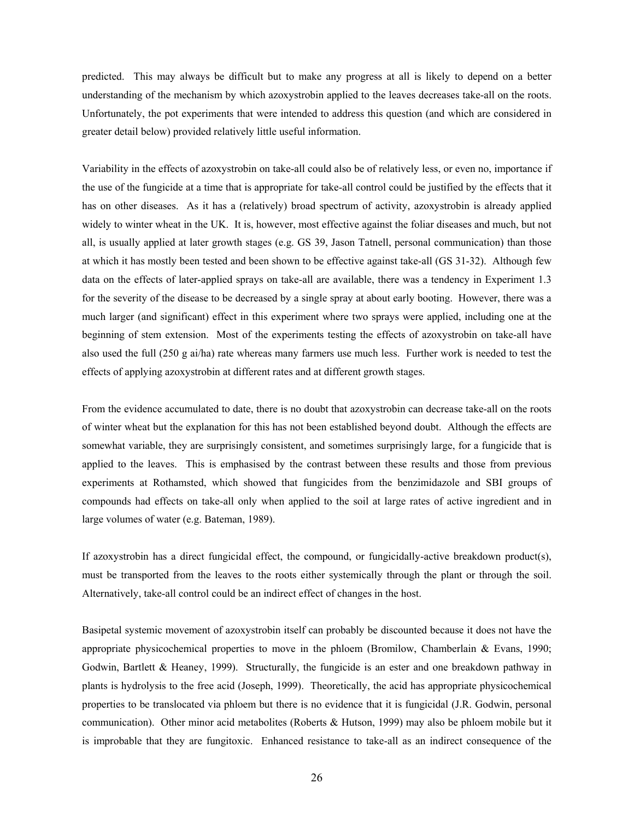predicted. This may always be difficult but to make any progress at all is likely to depend on a better understanding of the mechanism by which azoxystrobin applied to the leaves decreases take-all on the roots. Unfortunately, the pot experiments that were intended to address this question (and which are considered in greater detail below) provided relatively little useful information.

Variability in the effects of azoxystrobin on take-all could also be of relatively less, or even no, importance if the use of the fungicide at a time that is appropriate for take-all control could be justified by the effects that it has on other diseases. As it has a (relatively) broad spectrum of activity, azoxystrobin is already applied widely to winter wheat in the UK. It is, however, most effective against the foliar diseases and much, but not all, is usually applied at later growth stages (e.g. GS 39, Jason Tatnell, personal communication) than those at which it has mostly been tested and been shown to be effective against take-all (GS 31-32). Although few data on the effects of later-applied sprays on take-all are available, there was a tendency in Experiment 1.3 for the severity of the disease to be decreased by a single spray at about early booting. However, there was a much larger (and significant) effect in this experiment where two sprays were applied, including one at the beginning of stem extension. Most of the experiments testing the effects of azoxystrobin on take-all have also used the full (250 g ai/ha) rate whereas many farmers use much less. Further work is needed to test the effects of applying azoxystrobin at different rates and at different growth stages.

From the evidence accumulated to date, there is no doubt that azoxystrobin can decrease take-all on the roots of winter wheat but the explanation for this has not been established beyond doubt. Although the effects are somewhat variable, they are surprisingly consistent, and sometimes surprisingly large, for a fungicide that is applied to the leaves. This is emphasised by the contrast between these results and those from previous experiments at Rothamsted, which showed that fungicides from the benzimidazole and SBI groups of compounds had effects on take-all only when applied to the soil at large rates of active ingredient and in large volumes of water (e.g. Bateman, 1989).

If azoxystrobin has a direct fungicidal effect, the compound, or fungicidally-active breakdown product(s), must be transported from the leaves to the roots either systemically through the plant or through the soil. Alternatively, take-all control could be an indirect effect of changes in the host.

Basipetal systemic movement of azoxystrobin itself can probably be discounted because it does not have the appropriate physicochemical properties to move in the phloem (Bromilow, Chamberlain & Evans, 1990; Godwin, Bartlett & Heaney, 1999). Structurally, the fungicide is an ester and one breakdown pathway in plants is hydrolysis to the free acid (Joseph, 1999). Theoretically, the acid has appropriate physicochemical properties to be translocated via phloem but there is no evidence that it is fungicidal (J.R. Godwin, personal communication). Other minor acid metabolites (Roberts & Hutson, 1999) may also be phloem mobile but it is improbable that they are fungitoxic. Enhanced resistance to take-all as an indirect consequence of the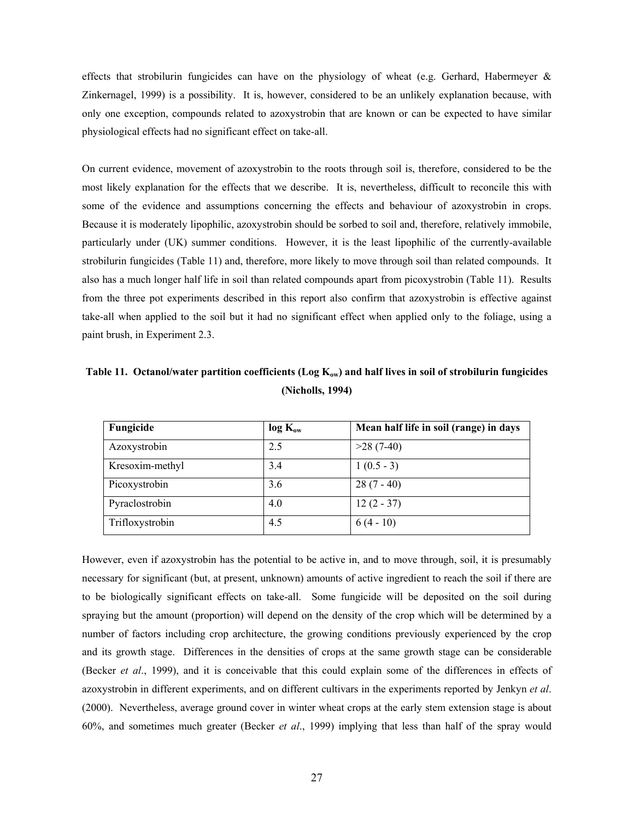effects that strobilurin fungicides can have on the physiology of wheat (e.g. Gerhard, Habermeyer  $\&$ Zinkernagel, 1999) is a possibility. It is, however, considered to be an unlikely explanation because, with only one exception, compounds related to azoxystrobin that are known or can be expected to have similar physiological effects had no significant effect on take-all.

On current evidence, movement of azoxystrobin to the roots through soil is, therefore, considered to be the most likely explanation for the effects that we describe. It is, nevertheless, difficult to reconcile this with some of the evidence and assumptions concerning the effects and behaviour of azoxystrobin in crops. Because it is moderately lipophilic, azoxystrobin should be sorbed to soil and, therefore, relatively immobile, particularly under (UK) summer conditions. However, it is the least lipophilic of the currently-available strobilurin fungicides (Table 11) and, therefore, more likely to move through soil than related compounds. It also has a much longer half life in soil than related compounds apart from picoxystrobin (Table 11). Results from the three pot experiments described in this report also confirm that azoxystrobin is effective against take-all when applied to the soil but it had no significant effect when applied only to the foliage, using a paint brush, in Experiment 2.3.

| Fungicide       | $log K_{ow}$ | Mean half life in soil (range) in days |  |  |
|-----------------|--------------|----------------------------------------|--|--|
| Azoxystrobin    | 2.5          | $>28(7-40)$                            |  |  |
| Kresoxim-methyl | 3.4          | $1(0.5-3)$                             |  |  |
| Picoxystrobin   | 3.6          | $28(7-40)$                             |  |  |
| Pyraclostrobin  | 4.0          | $12(2 - 37)$                           |  |  |
| Trifloxystrobin | 4.5          | $6(4-10)$                              |  |  |

Table 11. Octanol/water partition coefficients (Log K<sub>ow</sub>) and half lives in soil of strobilurin fungicides **(Nicholls, 1994)** 

However, even if azoxystrobin has the potential to be active in, and to move through, soil, it is presumably necessary for significant (but, at present, unknown) amounts of active ingredient to reach the soil if there are to be biologically significant effects on take-all. Some fungicide will be deposited on the soil during spraying but the amount (proportion) will depend on the density of the crop which will be determined by a number of factors including crop architecture, the growing conditions previously experienced by the crop and its growth stage. Differences in the densities of crops at the same growth stage can be considerable (Becker *et al*., 1999), and it is conceivable that this could explain some of the differences in effects of azoxystrobin in different experiments, and on different cultivars in the experiments reported by Jenkyn *et al*. (2000). Nevertheless, average ground cover in winter wheat crops at the early stem extension stage is about 60%, and sometimes much greater (Becker *et al*., 1999) implying that less than half of the spray would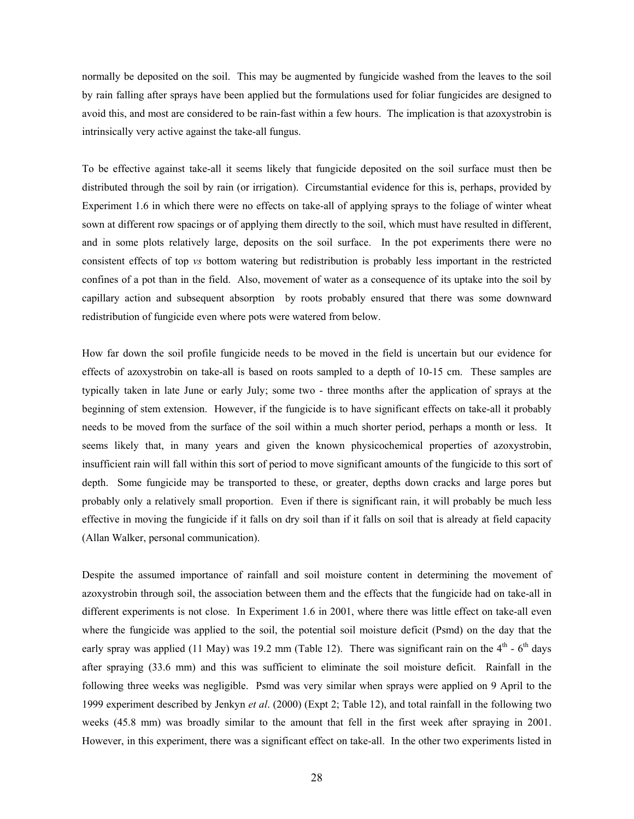normally be deposited on the soil. This may be augmented by fungicide washed from the leaves to the soil by rain falling after sprays have been applied but the formulations used for foliar fungicides are designed to avoid this, and most are considered to be rain-fast within a few hours. The implication is that azoxystrobin is intrinsically very active against the take-all fungus.

To be effective against take-all it seems likely that fungicide deposited on the soil surface must then be distributed through the soil by rain (or irrigation). Circumstantial evidence for this is, perhaps, provided by Experiment 1.6 in which there were no effects on take-all of applying sprays to the foliage of winter wheat sown at different row spacings or of applying them directly to the soil, which must have resulted in different, and in some plots relatively large, deposits on the soil surface. In the pot experiments there were no consistent effects of top *vs* bottom watering but redistribution is probably less important in the restricted confines of a pot than in the field. Also, movement of water as a consequence of its uptake into the soil by capillary action and subsequent absorption by roots probably ensured that there was some downward redistribution of fungicide even where pots were watered from below.

How far down the soil profile fungicide needs to be moved in the field is uncertain but our evidence for effects of azoxystrobin on take-all is based on roots sampled to a depth of 10-15 cm. These samples are typically taken in late June or early July; some two - three months after the application of sprays at the beginning of stem extension. However, if the fungicide is to have significant effects on take-all it probably needs to be moved from the surface of the soil within a much shorter period, perhaps a month or less. It seems likely that, in many years and given the known physicochemical properties of azoxystrobin, insufficient rain will fall within this sort of period to move significant amounts of the fungicide to this sort of depth. Some fungicide may be transported to these, or greater, depths down cracks and large pores but probably only a relatively small proportion. Even if there is significant rain, it will probably be much less effective in moving the fungicide if it falls on dry soil than if it falls on soil that is already at field capacity (Allan Walker, personal communication).

Despite the assumed importance of rainfall and soil moisture content in determining the movement of azoxystrobin through soil, the association between them and the effects that the fungicide had on take-all in different experiments is not close. In Experiment 1.6 in 2001, where there was little effect on take-all even where the fungicide was applied to the soil, the potential soil moisture deficit (Psmd) on the day that the early spray was applied (11 May) was 19.2 mm (Table 12). There was significant rain on the  $4<sup>th</sup>$  -  $6<sup>th</sup>$  days after spraying (33.6 mm) and this was sufficient to eliminate the soil moisture deficit. Rainfall in the following three weeks was negligible. Psmd was very similar when sprays were applied on 9 April to the 1999 experiment described by Jenkyn *et al*. (2000) (Expt 2; Table 12), and total rainfall in the following two weeks (45.8 mm) was broadly similar to the amount that fell in the first week after spraying in 2001. However, in this experiment, there was a significant effect on take-all. In the other two experiments listed in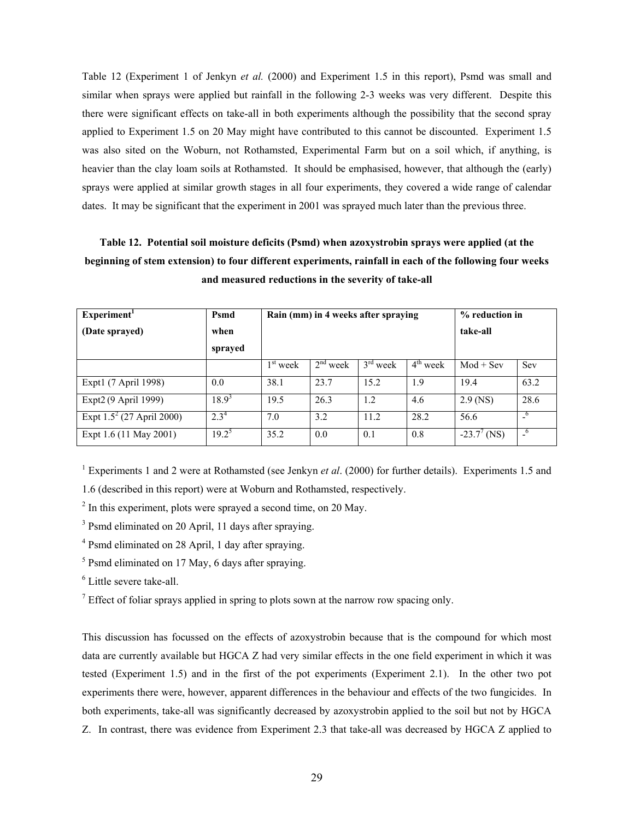Table 12 (Experiment 1 of Jenkyn *et al.* (2000) and Experiment 1.5 in this report), Psmd was small and similar when sprays were applied but rainfall in the following 2-3 weeks was very different. Despite this there were significant effects on take-all in both experiments although the possibility that the second spray applied to Experiment 1.5 on 20 May might have contributed to this cannot be discounted. Experiment 1.5 was also sited on the Woburn, not Rothamsted, Experimental Farm but on a soil which, if anything, is heavier than the clay loam soils at Rothamsted. It should be emphasised, however, that although the (early) sprays were applied at similar growth stages in all four experiments, they covered a wide range of calendar dates. It may be significant that the experiment in 2001 was sprayed much later than the previous three.

# **Table 12. Potential soil moisture deficits (Psmd) when azoxystrobin sprays were applied (at the beginning of stem extension) to four different experiments, rainfall in each of the following four weeks and measured reductions in the severity of take-all**

| Experiment <sup>1</sup>      | Psmd             | Rain (mm) in 4 weeks after spraying |            |            |            | % reduction in |                          |
|------------------------------|------------------|-------------------------------------|------------|------------|------------|----------------|--------------------------|
| (Date sprayed)               | when             |                                     |            |            |            | take-all       |                          |
|                              | sprayed          |                                     |            |            |            |                |                          |
|                              |                  | $1st$ week                          | $2nd$ week | $3rd$ week | $4th$ week | $Mod + Sev$    | Sev                      |
| Expt1 (7 April 1998)         | 0.0              | 38.1                                | 23.7       | 15.2       | 1.9        | 19.4           | 63.2                     |
| Expt2 (9 April 1999)         | $18.9^{3}$       | 19.5                                | 26.3       | 1.2        | 4.6        | $2.9$ (NS)     | 28.6                     |
| Expt $1.5^2$ (27 April 2000) | 2.3 <sup>4</sup> | 7.0                                 | 3.2        | 11.2       | 28.2       | 56.6           | $^{\circ}$               |
| Expt 1.6 (11 May 2001)       | $19.2^5$         | 35.2                                | 0.0        | 0.1        | 0.8        | $-23.7^7$ (NS) | $\overline{a}^{\bullet}$ |

<sup>1</sup> Experiments 1 and 2 were at Rothamsted (see Jenkyn *et al.* (2000) for further details). Experiments 1.5 and

1.6 (described in this report) were at Woburn and Rothamsted, respectively.

 $2 \text{ In this experiment, plots were sprayed a second time, on 20 May.}$ 

<sup>3</sup> Psmd eliminated on 20 April, 11 days after spraying.

4 Psmd eliminated on 28 April, 1 day after spraying.

<sup>5</sup> Psmd eliminated on 17 May, 6 days after spraying.

6 Little severe take-all.

<sup>7</sup> Effect of foliar sprays applied in spring to plots sown at the narrow row spacing only.

This discussion has focussed on the effects of azoxystrobin because that is the compound for which most data are currently available but HGCA Z had very similar effects in the one field experiment in which it was tested (Experiment 1.5) and in the first of the pot experiments (Experiment 2.1). In the other two pot experiments there were, however, apparent differences in the behaviour and effects of the two fungicides. In both experiments, take-all was significantly decreased by azoxystrobin applied to the soil but not by HGCA Z. In contrast, there was evidence from Experiment 2.3 that take-all was decreased by HGCA Z applied to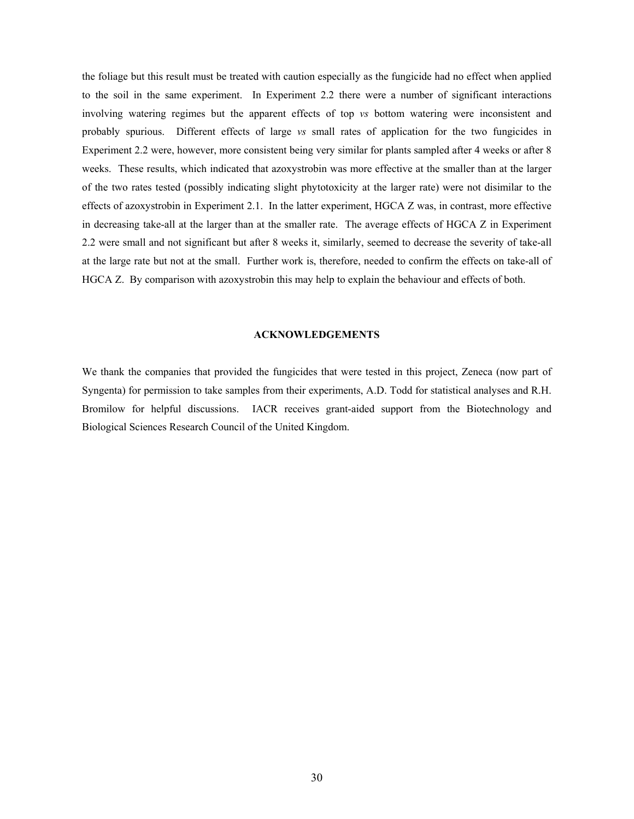the foliage but this result must be treated with caution especially as the fungicide had no effect when applied to the soil in the same experiment. In Experiment 2.2 there were a number of significant interactions involving watering regimes but the apparent effects of top *vs* bottom watering were inconsistent and probably spurious. Different effects of large *vs* small rates of application for the two fungicides in Experiment 2.2 were, however, more consistent being very similar for plants sampled after 4 weeks or after 8 weeks. These results, which indicated that azoxystrobin was more effective at the smaller than at the larger of the two rates tested (possibly indicating slight phytotoxicity at the larger rate) were not disimilar to the effects of azoxystrobin in Experiment 2.1. In the latter experiment, HGCA Z was, in contrast, more effective in decreasing take-all at the larger than at the smaller rate. The average effects of HGCA Z in Experiment 2.2 were small and not significant but after 8 weeks it, similarly, seemed to decrease the severity of take-all at the large rate but not at the small. Further work is, therefore, needed to confirm the effects on take-all of HGCA Z. By comparison with azoxystrobin this may help to explain the behaviour and effects of both.

#### **ACKNOWLEDGEMENTS**

We thank the companies that provided the fungicides that were tested in this project, Zeneca (now part of Syngenta) for permission to take samples from their experiments, A.D. Todd for statistical analyses and R.H. Bromilow for helpful discussions. IACR receives grant-aided support from the Biotechnology and Biological Sciences Research Council of the United Kingdom.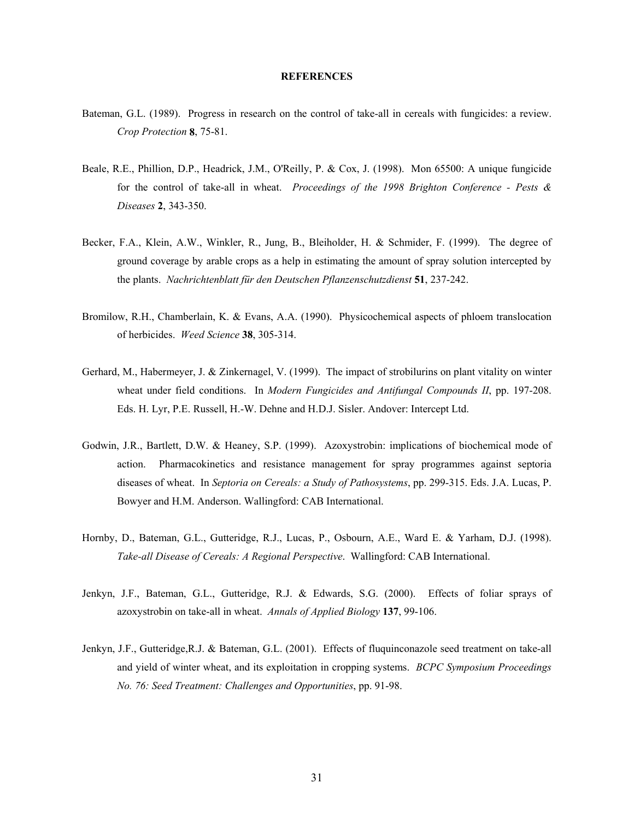#### **REFERENCES**

- Bateman, G.L. (1989). Progress in research on the control of take-all in cereals with fungicides: a review. *Crop Protection* **8**, 75-81.
- Beale, R.E., Phillion, D.P., Headrick, J.M., O'Reilly, P. & Cox, J. (1998). Mon 65500: A unique fungicide for the control of take-all in wheat. *Proceedings of the 1998 Brighton Conference - Pests & Diseases* **2**, 343-350.
- Becker, F.A., Klein, A.W., Winkler, R., Jung, B., Bleiholder, H. & Schmider, F. (1999). The degree of ground coverage by arable crops as a help in estimating the amount of spray solution intercepted by the plants. *Nachrichtenblatt für den Deutschen Pflanzenschutzdienst* **51**, 237-242.
- Bromilow, R.H., Chamberlain, K. & Evans, A.A. (1990). Physicochemical aspects of phloem translocation of herbicides. *Weed Science* **38**, 305-314.
- Gerhard, M., Habermeyer, J. & Zinkernagel, V. (1999). The impact of strobilurins on plant vitality on winter wheat under field conditions. In *Modern Fungicides and Antifungal Compounds II*, pp. 197-208. Eds. H. Lyr, P.E. Russell, H.-W. Dehne and H.D.J. Sisler. Andover: Intercept Ltd.
- Godwin, J.R., Bartlett, D.W. & Heaney, S.P. (1999). Azoxystrobin: implications of biochemical mode of action. Pharmacokinetics and resistance management for spray programmes against septoria diseases of wheat. In *Septoria on Cereals: a Study of Pathosystems*, pp. 299-315. Eds. J.A. Lucas, P. Bowyer and H.M. Anderson. Wallingford: CAB International.
- Hornby, D., Bateman, G.L., Gutteridge, R.J., Lucas, P., Osbourn, A.E., Ward E. & Yarham, D.J. (1998). *Take-all Disease of Cereals: A Regional Perspective*. Wallingford: CAB International.
- Jenkyn, J.F., Bateman, G.L., Gutteridge, R.J. & Edwards, S.G. (2000). Effects of foliar sprays of azoxystrobin on take-all in wheat. *Annals of Applied Biology* **137**, 99-106.
- Jenkyn, J.F., Gutteridge,R.J. & Bateman, G.L. (2001). Effects of fluquinconazole seed treatment on take-all and yield of winter wheat, and its exploitation in cropping systems. *BCPC Symposium Proceedings No. 76: Seed Treatment: Challenges and Opportunities*, pp. 91-98.